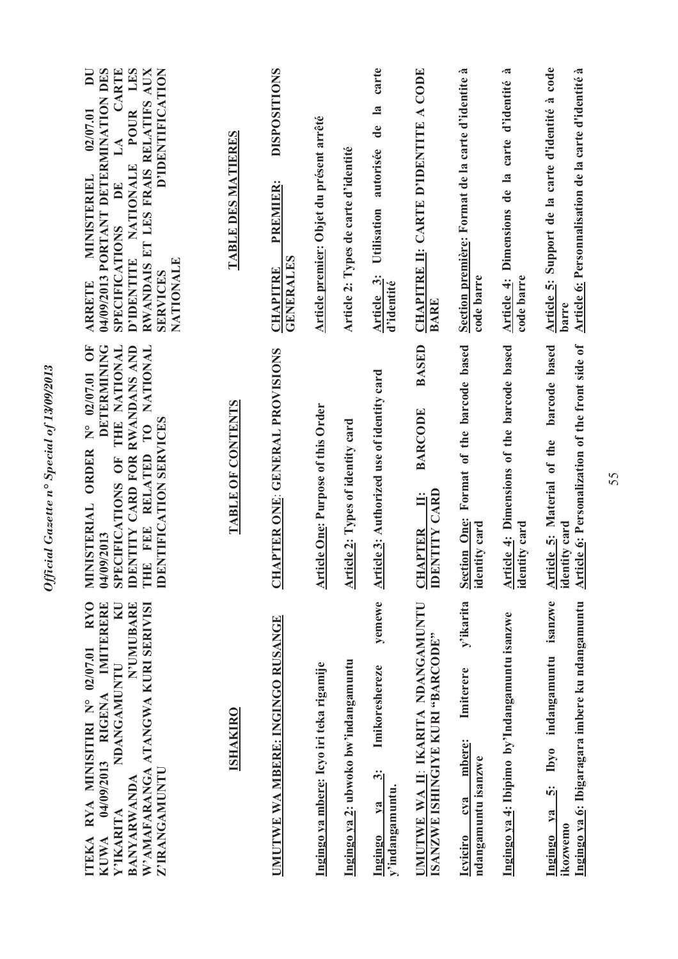| D'IDENTIFICATION<br>04/09/2013 PORTANT DETERMINATION DES<br>LES<br>DU<br>CARTE<br>RWANDAIS ET LES FRAIS RELATIFS AUX<br><b>POUR</b><br>02/07.01<br>$\mathbf{A}$<br>D'IDENTITE NATIONALE<br><b>MINISTERIEL</b><br>DE<br><b>SPECIFICATIONS</b><br>NATIONALE<br><b>SERVICES</b><br><b>ARRETE</b> | TABLE DES MATIERES       | <b>DISPOSITIONS</b><br><b>PREMIER:</b><br><b>GENERALES</b><br><b>CHAPITRE</b> | Article premier: Objet du présent arrêté  | Article 2: Types de carte d'identité | carte<br>$\overline{\mathbf{a}}$<br>$\mathbf{d}\mathbf{e}$<br>autorisée<br>Utilisation<br>Article 3:<br>d'identité | CHAPITRE II: CARTE D'IDENTITE A CODE<br><b>BARE</b>                                    | Section première: Format de la carte d'identite à<br>code barre                   | .ಷ<br>Article 4: Dimensions de la carte d'identité<br>code barre | Article 5: Support de la carte d'identité à code<br>Article 6: Personnalisation de la carte d'identité à<br>barre |
|-----------------------------------------------------------------------------------------------------------------------------------------------------------------------------------------------------------------------------------------------------------------------------------------------|--------------------------|-------------------------------------------------------------------------------|-------------------------------------------|--------------------------------------|--------------------------------------------------------------------------------------------------------------------|----------------------------------------------------------------------------------------|-----------------------------------------------------------------------------------|------------------------------------------------------------------|-------------------------------------------------------------------------------------------------------------------|
| DETERMINING<br>THE NATIONAL<br>IDENTITY CARD FOR RWANDANS AND<br>N° 02/07.01 OF<br>THE FEE RELATED TO NATIONAL<br><b>IDENTIFICATION SERVICES</b><br>MINISTERIAL ORDER<br>SPECIFICATIONS OF<br>04/09/2013                                                                                      | <b>TABLE OF CONTENTS</b> | CHAPTER ONE: GENERAL PROVISIONS                                               | <b>Article One: Purpose of this Order</b> | Article 2: Types of identity card    | Article 3: Authorized use of identity card                                                                         | <b>BASED</b><br><b>BARCODE</b><br><b>IDENTITY CARD</b><br>$\ddot{=}$<br><b>CHAPTER</b> | Format of the barcode based<br><b>Section One:</b><br>identity card               | Article 4: Dimensions of the barcode based<br>identity card      | Article 6: Personalization of the front side of<br>barcode based<br>Article 5: Material of the<br>identity card   |
| <b>RYO</b><br>IMITERERE<br>N'UMUBARE<br>W'AMAFARANGA ATANGWA KURI SERIVISI<br>KU<br>RYA MINISITIRI Nº 02/07.01<br>NDANGAMUNTU<br>04/09/2013 RIGENA<br>Z'IRANGAMUNTU<br><b>BANYARWANDA</b><br>Y'IKARITA<br><b>TEKA</b><br><b>KUWA</b>                                                          | <b>ISHAKIRO</b>          | UMUTWE WA MBERE: INGINGO RUSANGE                                              | Ingingo ya mbere: Icyo iri teka rigamije  | Ingingo ya 2: ubwoko bw'indangamuntu | yemewe<br>Imikoreshereze<br>$\ddot{\dot{\mathcal{E}}}$<br>y'indangamuntu.<br>$1$<br>Ingingo                        | UMUTWE WA II: IKARITA NDANGAMUNTU<br>ISANZWE ISHINGIYE KURI "BARCODE"                  | y'ikarita<br>Imiterere<br>mbere:<br>ndangamuntu isanzwe<br>cya<br><b>Icyiciro</b> | Ingingo ya 4: Ibipimo by'Indangamuntu isanzwe                    | 5: Ibyo indangamuntu isanzwe<br>Ingingo ya 6: Ibigaragara imbere ku ndangamuntu<br>Ingingo ya<br>ikozwemo         |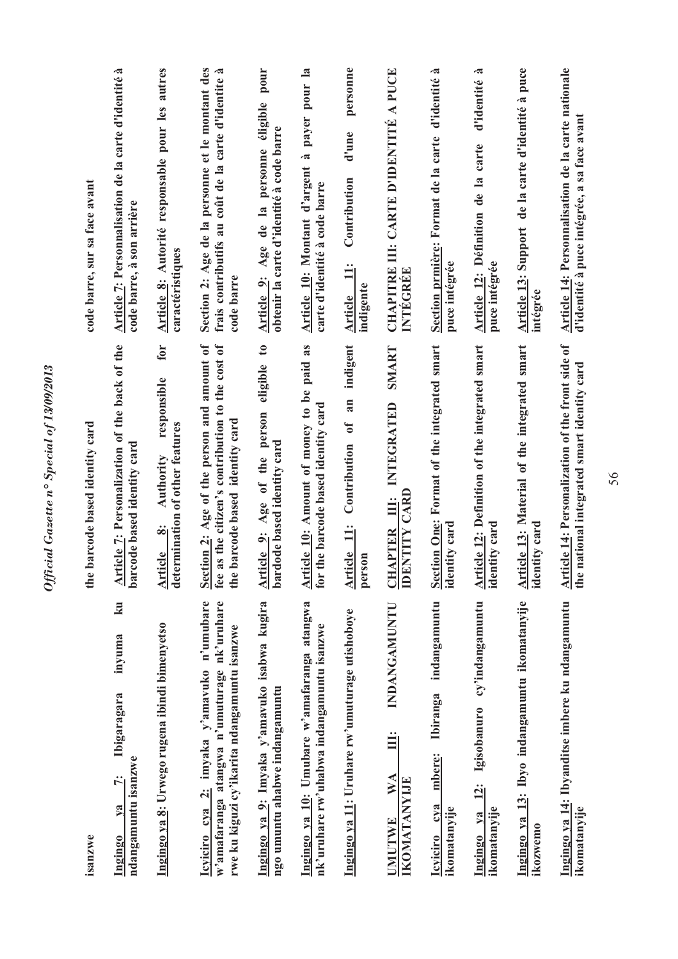| code barre, sur sa face avant   | Article 7: Personnalisation de la carte d'identité à<br>code barre, à son arrière    | Article 8: Autorité responsable pour les autres<br>caractéristiques<br>for                              | Section 2: Age de la personne et le montant des<br>frais contributifs au coût de la carte d'identite à<br>code barre                      | pour<br>Article 9: Age de la personne éligible<br>obtenir la carte d'identité à code barre<br>$\mathfrak{c}$ | Article 10: Montant d'argent à payer pour la<br>carte d'identité à code barre            | personne<br>d'une<br>Contribution<br>$\ddot{=}$<br>indigente<br><b>Article</b><br>indigent | CHAPITRE III: CARTE D'IDENTITÉ A PUCE<br>INTEGREE<br>SMART                    | Section prmière: Format de la carte d'identité à<br>puce intégrée            | d'identité à<br>Article 12: Définition de la carte<br>puce intégrée | Article 13: Support de la carte d'identité à puce<br>intégrée | Article 14: Personnalisation de la carte nationale<br>d'identité à puce intégrée, a sa face avant   |
|---------------------------------|--------------------------------------------------------------------------------------|---------------------------------------------------------------------------------------------------------|-------------------------------------------------------------------------------------------------------------------------------------------|--------------------------------------------------------------------------------------------------------------|------------------------------------------------------------------------------------------|--------------------------------------------------------------------------------------------|-------------------------------------------------------------------------------|------------------------------------------------------------------------------|---------------------------------------------------------------------|---------------------------------------------------------------|-----------------------------------------------------------------------------------------------------|
| the barcode based identity card | Article 7: Personalization of the back of the<br>barcode based identity card         | responsible<br>determination of other features<br><b>Authority</b><br>$\ddot{\infty}$<br><b>Article</b> | fee as the citizen's contribution to the cost of<br>Section 2: Age of the person and amount of<br>the barcode based identity card         | eligible<br>Article 9: Age of the person<br>bardode based identity card                                      | Article 10: Amount of money to be paid as<br>for the barcode based identity card         | of an<br>Contribution<br>$\ddot{=}$<br><b>Article</b><br>person                            | INTEGRATED<br><b>IDENTITY CARD</b><br>Ë<br><b>CHAPTER</b>                     | Section One: Format of the integrated smart<br>identity card                 | Article 12: Definition of the integrated smart<br>identity card     | Article 13: Material of the integrated smart<br>identity card | Article 14: Personalization of the front side of<br>national integrated smart identity card<br>the: |
| isanzwe                         | ku<br>inyuma<br>Ibigaragara<br>ndangamuntu isanzwe<br>$\ddot{\tau}$<br>ya<br>Ingingo | Ingingo ya 8: Urwego rugena ibindi bimenyetso                                                           | Icyiciro cya 2: imyaka y'amavuko n'umubare<br>w'amafaranga atangwa n'umuturage nk'uruhare<br>rwe ku kiguzi cy'ikarita ndangamuntu isanzwe | Ingingo ya 9: Imyaka y'amavuko isabwa kugira<br>ngo umuntu ahabwe indangamuntu                               | Ingingo ya 10: Umubare w'amafaranga atangwa<br>nk'uruhare rw'uhabwa indangamuntu isanzwe | Ingingo ya 11: Uruhare rw'umuturage utishoboye                                             | INDANGAMUNTU<br>Ë<br>$\mathbf{W} \mathbf{A}$<br>IKOMATANYIJE<br><b>UMUTWE</b> | indangamuntu<br><b>Ibiranga</b><br>mbere:<br>cya<br>ikomatanyije<br>Icyiciro | cy'indangamuntu<br>Ingingo ya 12: Igisobanuro<br>ikomatanyije       | Ingingo ya 13: Ibyo indangamuntu ikomatanyije<br>ikozwemo     | Ingingo ya 14: Ibyanditse imbere ku ndangamuntu<br>ikomatanyije                                     |

Official Gazette nº Special of 13/09/2013

56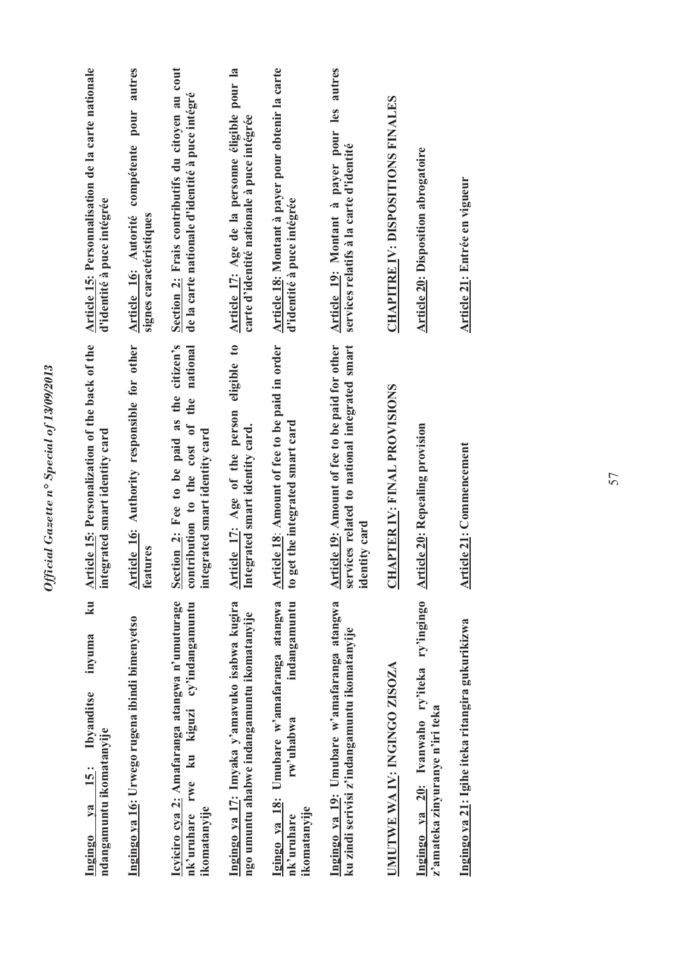| Article 15: Personnalisation de la carte nationale<br>d'identité à puce intégrée              | Article 16: Autorité compétente pour autres<br>signes caractéristiques | Section 2: Frais contributifs du citoyen au cout<br>de la carte nationale d'identité à puce intégré<br>the national    | Article 17: Age de la personne éligible pour la<br>carte d'identité nationale à puce intégrée | Article 18: Montant à payer pour obtenir la carte<br>d'identité à puce intégrée                       | Article 19: Montant à payer pour les autres<br>services relatifs à la carte d'identité                           | <b>CHAPITRE IV: DISPOSITIONS FINALES</b> | <b>Article 20: Disposition abrogatoire</b>                                     | <b>Article 21: Entrée en vigueur</b>             |  |
|-----------------------------------------------------------------------------------------------|------------------------------------------------------------------------|------------------------------------------------------------------------------------------------------------------------|-----------------------------------------------------------------------------------------------|-------------------------------------------------------------------------------------------------------|------------------------------------------------------------------------------------------------------------------|------------------------------------------|--------------------------------------------------------------------------------|--------------------------------------------------|--|
| ticle 15: Personalization of the back of the<br>integrated smart identity card<br>Art         | Article 16: Authority responsible for other<br>features                | Section 2: Fee to be paid as the citizen's<br>contribution to the cost of<br>integrated smart identity card            | Article 17: Age of the person eligible to<br>Integrated smart identity card.                  | Article 18: Amount of fee to be paid in order<br>to get the integrated smart card                     | Article 19: Amount of fee to be paid for other<br>services related to national integrated smart<br>identity card | APTER IV: FINAL PROVISIONS<br><b>CH</b>  | <b>Article 20: Repealing provision</b>                                         | <b>Article 21: Commencement</b>                  |  |
| ku<br>inyuma<br><b>Ibyanditse</b><br>ndangamuntu ikomatanyije<br><b>is:</b><br>$1$<br>Ingingo | Ingingo ya 16: Urwego rugena ibindi bimenyetso                         | Icyiciro cya 2: Amafaranga atangwa n'umuturage<br>cy'indangamuntu<br>kiguzi<br>ku<br>rwe<br>ikomatanyije<br>nk'uruhare | Ingingo ya 17: Imyaka y'amavuko isabwa kugira<br>ngo umuntu ahabwe indangamuntu ikomatanyije  | indangamuntu<br>Igingo ya 18: Umubare w'amafaranga atangwa<br>rw'uhabwa<br>ikomatanyije<br>nk'uruhare | Ingingo ya 19: Umubare w'amafaranga atangwa<br>ku zindi serivisi z'indangamuntu ikomatanyije                     | UMUTWE WA IV: INGINGO ZISOZA             | Ingingo ya 20: Ivanwaho ry'iteka ry'ingingo<br>z'amateka zinyuranye n'iri teka | Ingingo ya 21: Igihe iteka ritangira gukurikizwa |  |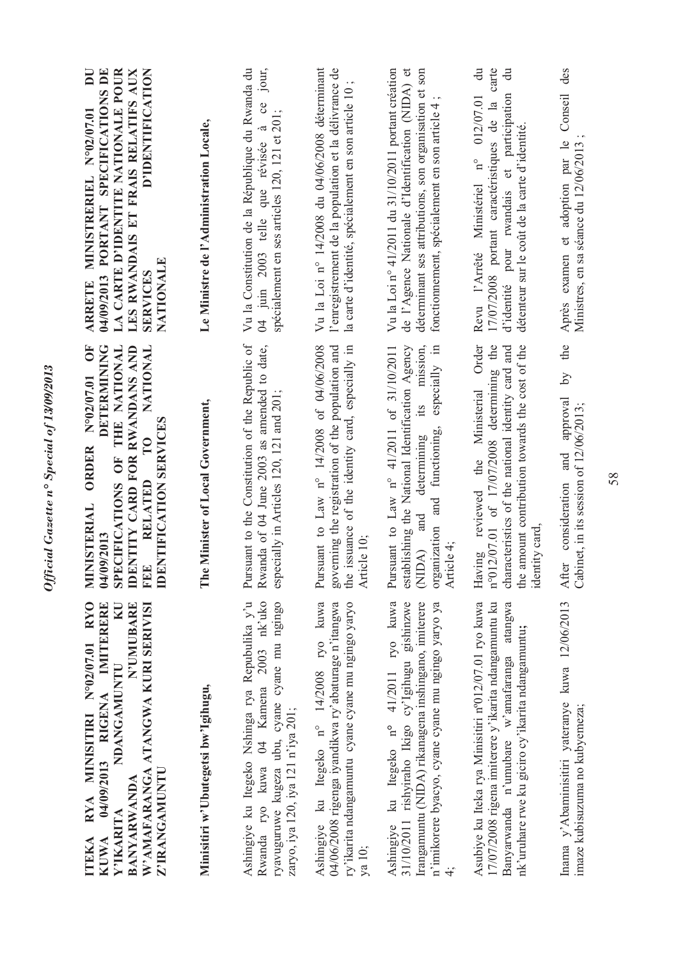| <b>RYO</b><br>04/09/2013 RIGENA IMITERERE<br>N'UMUBARE<br>W'AMAFARANGA ATANGWA KURI SERIVISI<br>KU<br>RYA MINISITIRI Nº02/07.01<br>NDANGAMUNTU<br>Z'IRANGAMUNTU<br><b>BANYARWANDA</b><br>Y'IKARITA<br><b>KUWA</b><br><b>ITEKA</b> | DETERMINING<br>$\overline{O}$<br>THE NATIONAL<br>IDENTITY CARD FOR RWANDANS AND<br>NATIONAL<br>N°02/07.01<br><b>IDENTIFICATION SERVICES</b><br><b>ORDER</b><br>SPECIFICATIONS OF<br><b>RELATED</b><br>MINISTERIAL<br>04/09/2013<br><b>FEE</b> | D'IDENTIFICATION<br>04/09/2013 PORTANT SPECIFICATIONS DE<br>LA CARTE D'IDENTITE NATIONALE POUR<br>LES RWANDAIS ET FRAIS RELATIFS AUX<br>$\overline{\mathbf{D}}$<br>N°02/07.01<br>MINISTRERIEL<br>NATIONALE<br><b>SERVICES</b><br><b>ARRETE</b> |
|-----------------------------------------------------------------------------------------------------------------------------------------------------------------------------------------------------------------------------------|-----------------------------------------------------------------------------------------------------------------------------------------------------------------------------------------------------------------------------------------------|------------------------------------------------------------------------------------------------------------------------------------------------------------------------------------------------------------------------------------------------|
| Minisitiri w'Ubutegetsi bw'Igihugu,                                                                                                                                                                                               | e Minister of Local Government,<br>Ē                                                                                                                                                                                                          | Le Ministre de l'Administration Locale,                                                                                                                                                                                                        |
| Ashingiye ku Itegeko Nshinga rya Repubulika y'u<br>Rwanda ryo kuwa 04 Kamena 2003 nk'uko<br>ryavuguruwe kugeza ubu, cyane cyane mu ngingo<br>zaryo, iya 120, iya 121 n'iya 201;                                                   | Pursuant to the Constitution of the Republic of<br>Rwanda of 04 June 2003 as amended to date,<br>especially in Articles 120, 121 and 201                                                                                                      | Vu la Constitution de la République du Rwanda du<br>jour,<br>$\infty$<br>spécialement en ses articles 120, 121 et 201;<br>04 juin 2003 telle que révisée à                                                                                     |
| Ashingiye ku Itegeko n° 14/2008 ryo kuwa<br>04/06/2008 rigenga iyandikwa ry'abaturage n'itangwa<br>ry'ikarita ndangamuntu cyane cyane mu ngingo yaryo<br>ya 10;                                                                   | governing the registration of the population and<br>Pursuant to Law n° 14/2008 of 04/06/2008<br>the issuance of the identity card, especially in<br>Article 10:                                                                               | Vu la Loi nº 14/2008 du 04/06/2008 déterminant<br>l'enregistrement de la population et la délivrance de<br>la carte d'identité, spécialement en son article 10                                                                                 |
| Ashingiye ku Itegeko nº 41/2011 ryo kuwa<br>31/10/2011 rishyiraho Ikigo cy'lgihugu gishinzwe<br>Irangamuntu (NIDA) rikanagena inshingano, imiterere<br>n'imikorere byacyo, cyane cyane mu ngingo yaryo ya                         | establishing the National Identification Agency<br>especially in<br>Pursuant to Law n° 41/2011 of 31/10/2011<br>its mission,<br>organization and functioning,<br>determining<br>(NIDA) and<br>Article 4;                                      | Vu la Loi nº 41/2011 du 31/10/2011 portant création<br>de l'Agence Nationale d'Identification (NIDA) et<br>déterminant ses attributions, son organisation et son<br>fonctionnement, spécialement en son article 4                              |
| 17/07/2008 rigena imiterere y'ikarita ndangamuntu ku<br>Asubiye ku Iteka rya Minisitiri n°012/07.01 ryo kuwa<br>Banyarwanda n'umubare w'amafaranga atangwa<br>nk'uruhare rwe ku giciro cy'ikarita ndangamuntu;                    | Order<br>n°012/07.01 of 17/07/2008 determining the<br>characteristics of the national identity card and<br>the amount contribution towards the cost of the<br>the Ministerial<br>Having reviewed<br>identity card                             | $\ddot{d}$<br>carte<br>$\ddot{a}$<br>d'identité pour rwandais et participation<br>Revu l'Arrêté Ministériel n° 012/07.01<br>17/07/2008 portant caractéristiques de la<br>détenteur sur le coût de la carte d'identité.                         |
| Inama y'Abaminisitiri yateranye kuwa 12/06/2013<br>imaze kubisuzuma no kubyemeza;                                                                                                                                                 | the<br>$\Omega$<br>approval<br>Cabinet, in its session of 12/06/2013;<br>and<br>consideration<br>After                                                                                                                                        | des<br>Conseil<br>Après examen et adoption par le<br>Ministres, en sa séance du 12/06/2013                                                                                                                                                     |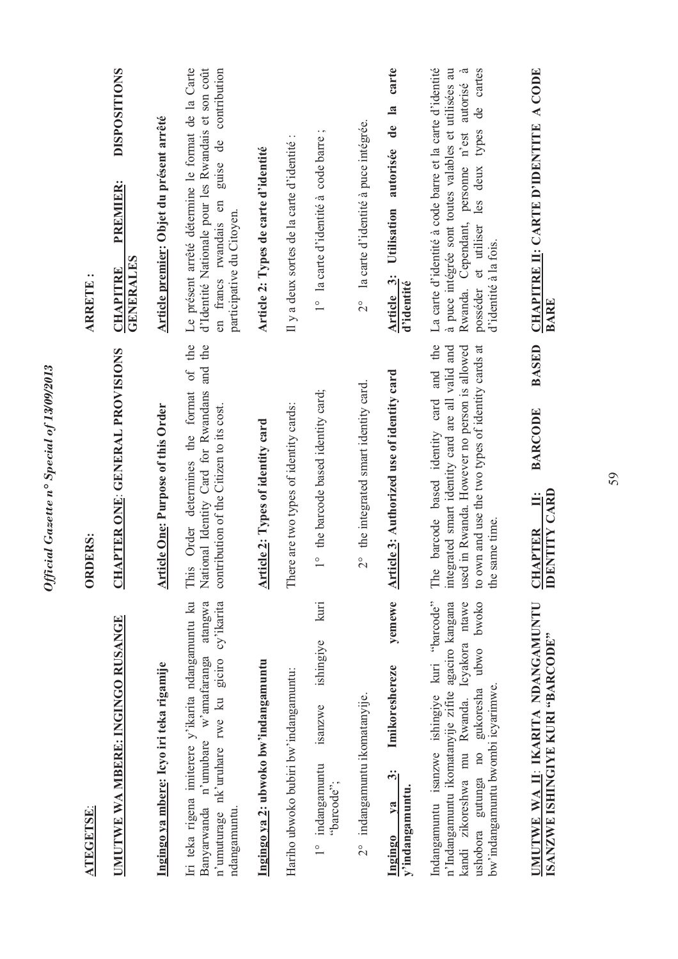| <b>ATEGETSE:</b>                                                                                                                                                                                                                         | <b>ORDERS:</b>                                                                                                                                                                                                           | $\ddot{\phantom{0}}$<br><b>ARRETE</b>                                                                                                                                                                                                                               |
|------------------------------------------------------------------------------------------------------------------------------------------------------------------------------------------------------------------------------------------|--------------------------------------------------------------------------------------------------------------------------------------------------------------------------------------------------------------------------|---------------------------------------------------------------------------------------------------------------------------------------------------------------------------------------------------------------------------------------------------------------------|
| UMUTWE WA MBERE: INGINGO RUSANGE                                                                                                                                                                                                         | APTER ONE: GENERAL PROVISIONS<br><b>ED</b>                                                                                                                                                                               | <b>DISPOSITIONS</b><br>PREMIER:<br><b>GENERALES</b><br><b>CHAPITRE</b>                                                                                                                                                                                              |
| Ingingo ya mbere: Icyo iri teka rigamije                                                                                                                                                                                                 | <b>Article One: Purpose of this Order</b>                                                                                                                                                                                | Article premier: Objet du présent arrêté                                                                                                                                                                                                                            |
| Iri teka rigena imiterere y'ikarita ndangamuntu ku<br>cy'ikarita<br>atangwa<br>nk'uruhare rwe ku giciro<br>w'amafaranga<br>n'umubare<br>Banyarwanda<br>n'umuturage<br>ndangamuntu                                                        | of the<br>and the<br>This Order determines the format<br>National Identity Card for Rwandans<br>contribution of the Citizen to its cost.                                                                                 | Le présent arrêté détermine le format de la Carte<br>d'Identité Nationale pour les Rwandais et son coût<br>contribution<br>ප්<br>guise<br>en francs rwandais en<br>participative du Citoyen.                                                                        |
| Ingingo ya 2: ubwoko bw'indangamuntu                                                                                                                                                                                                     | <b>Article 2: Types of identity card</b>                                                                                                                                                                                 | Article 2: Types de carte d'identité                                                                                                                                                                                                                                |
| Hariho ubwoko bubiri bw'indangamuntu:                                                                                                                                                                                                    | There are two types of identity cards:                                                                                                                                                                                   | Il y a deux sortes de la carte d'identité                                                                                                                                                                                                                           |
| kuri<br>ishingiye<br>isanzwe<br>indangamuntu<br>"barcode";<br>$\frac{1}{2}$                                                                                                                                                              | 1° the barcode based identity card;                                                                                                                                                                                      | $\cdot$ $\circ$<br>1° la carte d'identité à code barre                                                                                                                                                                                                              |
| 2° indangamuntu ikomatanyije.                                                                                                                                                                                                            | 2° the integrated smart identity card.                                                                                                                                                                                   | la carte d'identité à puce intégrée.<br>$\frac{1}{2}$                                                                                                                                                                                                               |
| yemewe<br>Imikoreshereze<br>ကို<br>y'indangamuntu.<br>V2<br>Ingingo                                                                                                                                                                      | Article 3: Authorized use of identity card                                                                                                                                                                               | carte<br>de la<br>autorisée<br>Utilisation<br>Article 3:<br>d'identité                                                                                                                                                                                              |
| Indangamuntu isanzwe ishingiye kuri "barcode"<br>bwoko<br>kandi zikoreshwa mu Rwanda. Icyakora ntawe<br>n'Indangamuntu ikomatanyije zifite agaciro kangana<br>ubwo<br>bw'indangamuntu bwombi icyarimwe.<br>ushobora gutunga no gukoresha | and the<br>integrated smart identity card are all valid and<br>used in Rwanda. However no person is allowed<br>to own and use the two types of identity cards at<br>barcode based identity card<br>the same time.<br>The | La carte d'identité à code barre et la carte d'identité<br>de cartes<br>à puce intégrée sont toutes valables et utilisées au<br>$\tilde{\epsilon}$<br>autorisé<br>Rwanda. Cependant, personne n'est<br>posséder et utiliser les deux types<br>d'identité à la fois. |
| UMUTWE WA II: IKARITA NDANGAMUNTU<br><b>ISANZWE ISHINGIYE KURI "BARCODE"</b>                                                                                                                                                             | <b>BASED</b><br><b>BARCODE</b><br><b>IDENTITY CARD</b><br>Ë<br><b>CHAPTER</b>                                                                                                                                            | CHAPITRE II: CARTE D'IDENTITE A CODE<br>BARE                                                                                                                                                                                                                        |

Official Gazette nº Special of 13/09/2013

59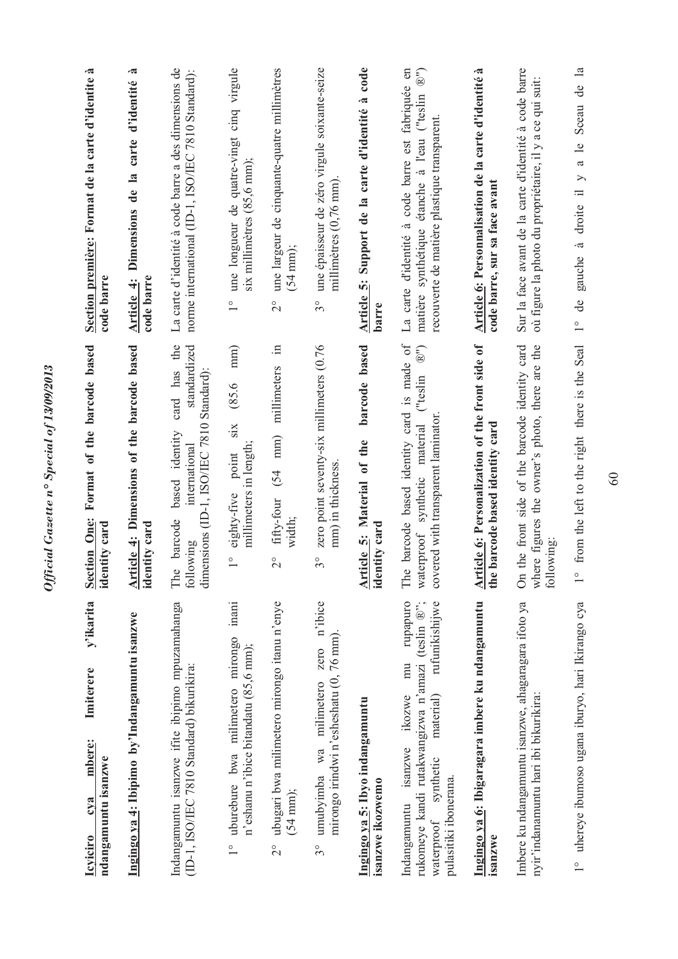| y'ikarita<br>Imiterere<br>mbere:<br>ndangamuntu isanzwe<br>cva<br><b>Icviciro</b>                                                                                                          | Format of the barcode based<br><b>Section One:</b><br>identity card                                                                                            | Section première: Format de la carte d'identite à<br>code barre                                                                                                                       |
|--------------------------------------------------------------------------------------------------------------------------------------------------------------------------------------------|----------------------------------------------------------------------------------------------------------------------------------------------------------------|---------------------------------------------------------------------------------------------------------------------------------------------------------------------------------------|
| Ingingo ya 4: Ibipimo by'Indangamuntu isanzwe                                                                                                                                              | Article 4: Dimensions of the barcode based<br>identity card                                                                                                    | .ಷ<br>Article 4: Dimensions de la carte d'identité<br>code barre                                                                                                                      |
| Indangamuntu isanzwe ifite ibipimo mpuzamahanga<br>(ID-1, ISO/IEC 7810 Standard) bikurikira:                                                                                               | card has the<br>standardized<br>Standard):<br>dimensions (ID-1, ISO/IEC 7810<br>based identity<br>international<br>barcode<br>following<br>The                 | La carte d'identité à code barre a des dimensions de<br>norme international (ID-1, ISO/IEC 7810 Standard):                                                                            |
| inani<br>uburebure bwa milimetero mirongo<br>n'eshanu n'ibice bitandatu (85,6 mm);<br>$\frac{1}{1}$                                                                                        | mm)<br>(85.6)<br>six<br>millimeters in length;<br>point<br>eighty-five<br>$\frac{1}{\sqrt{2}}$                                                                 | une longueur de quatre-vingt cinq virgule<br>six millimètres (85,6 mm);<br>$\frac{1}{1}$                                                                                              |
| ubugari bwa milimetero mirongo itanu n'enye<br>(54 mm);<br>$\frac{1}{2}$                                                                                                                   | $\equiv$<br>millimeters<br>$\min$<br>(54)<br>fifty-four<br>width;<br>$\overline{\mathcal{C}}$                                                                  | une largeur de cinquante-quatre millimètres<br>$(54 \text{ mm});$<br>$\overline{c}$                                                                                                   |
| zero n'ibice<br>mirongo irindwi n'esheshatu (0, 76 mm).<br>umubyimba wa milimetero<br>30                                                                                                   | zero point seventy-six millimeters (0.76<br>mm) in thickness<br>$3^{\circ}$                                                                                    | une épaisseur de zéro virgule soixante-seize<br>millimètres (0,76 mm)<br>$3^{\circ}$                                                                                                  |
| Ingingo ya 5: Ibyo indangamuntu<br>isanzwe ikozwemo                                                                                                                                        | barcode based<br>Article 5: Material of the<br>identity card                                                                                                   | Article 5: Support de la carte d'identité à code<br>barre                                                                                                                             |
| rupapuro<br>rufunikishijwe<br>rukomeye kandi rutakwangizwa n'amazi (teslin ®";<br>mu<br>material)<br>ikozwe<br>isanzwe<br>synthetic<br>pulasitiki ibonerana.<br>Indangamuntu<br>waterproof | The barcode based identity card is made of<br>$\widehat{\mathbb{B}}^{n}$<br>("teslin<br>covered with transparent laminator<br>synthetic material<br>waterproof | à code barre est fabriquée en<br>$\widehat{\mathbb{B}}^{n}$<br>étanche à l'eau ("teslin<br>recouverte de matière plastique transparent.<br>matière synthétique<br>La carte d'identité |
| Ingingo ya 6: Ibigaragara imbere ku ndangamuntu<br>isanzwe                                                                                                                                 | Article 6: Personalization of the front side of<br>the barcode based identity card                                                                             | Article 6: Personnalisation de la carte d'identité à<br>code barre, sur sa face avant                                                                                                 |
| Imbere ku ndangamuntu isanzwe, ahagaragara ifoto ya<br>nyir'indanamuntu hari ibi bikurikira:                                                                                               | the front side of the barcode identity card<br>ere figures the owner's photo, there are the<br>following<br>$\delta$<br>$\mathbb{R}^n$                         | Sur la face avant de la carte d'identité à code barre<br>où figure la photo du propriétaire, il y a ce qui suit:                                                                      |
| 1° uhereye ibumoso ugana iburyo, hari Ikirango cya                                                                                                                                         | from the left to the right there is the Seal<br>$\frac{0}{1}$                                                                                                  | droite il y a le Sceau de la<br>gauche à<br>$1^{\circ}$ de                                                                                                                            |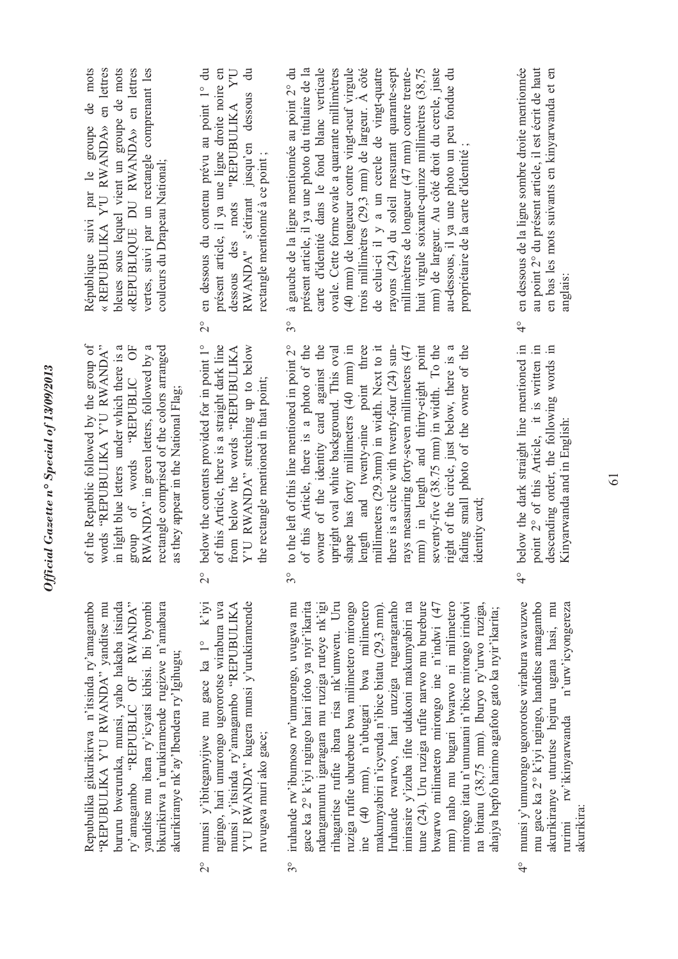| 6 IUC/UVIA<br>١<br>۰,<br>١ |
|----------------------------|
|                            |
| י<br>י                     |
|                            |
| Ń,                         |
| ζ                          |
|                            |
| $\mathbf{r}$<br>c          |
|                            |
| Č                          |
|                            |
|                            |
|                            |
|                            |
| e<br>C                     |
|                            |
|                            |
|                            |

bururu bweruruka, munsi, yaho hakaba itsinda ry'amagambo "REPUBLIC OF RWANDA" Repubulika gikurikirwa n'itsinda ry'amagambo Repubulika gikurikirwa n'itsinda ry'amagambo "REPUBULIKA Y'U RWANDA" yanditse mu bururu bweruruka, munsi, yaho hakaba itsinda ry'amagambo "REPUBLIC OF RWANDA" yanditse mu ibara ry'icyatsi kibisi. Ibi byombi bikurikirwa n'urukiramende rugizwe n'amabara "REPUBULIKA Y'U RWANDA" yanditse mu yanditse mu ibara ry'icyatsi kibisi. Ibi byombi bikurikirwa n'urukiramende rugizwe n'amabara akurikiranye nk'ay'Ibendera ry'Igihugu; akurikiranye nk'ay'Ibendera ry'Igihugu;

- 2° munsi y'ibiteganyijwe mu gace ka 1° k'iyi ngingo, hari umurongo ugororotse wirabura uva munsi y'ibiteganyijwe mu gace ka 1° k'iyi ngingo, hari umurongo ugororotse wirabura uva munsi y'itsinda ry'amagambo "REPUBULIKA Y'U RWANDA" kugera munsi y'urukiramende munsi y'itsinda ry'amagambo 'REPUBULIKA Y'U RWANDA" kugera munsi y'urukiramende ruvugwa muri ako gace; ruvugwa muri ako gace;  $\frac{1}{2}$
- ndangamuntu igaragara mu ruziga ruteye nk'igi imirasire y'izuba ifite udukoni makumyabiri na 3° iruhande rw'ibumoso rw'umurongo, uvugwa mu gace ka 2° k'iyi ngingo hari ifoto ya nyir'ikarita rihagaritse rufite ibara risa nk'umweru. Uru ruziga rufite uburebure bwa milimetero mirongo ine (40 mm), n'ubugari bwa milimetero makumyabiri n'icyenda n'ibice bitatu (29,3 mm). Iruhande rwarwo, hari uruziga rugaragaraho tune (24). Uru ruziga rufite narwo mu burebure bwarwo milimetero mirongo ine n'indwi (47 mm) naho mu bugari bwarwo ni milimetero mm) naho mu bugari bwarwo ni milimetero mirongo itatu n'umunani n'ibice mirongo irindwi na bitanu (38,75 mm). Iburyo ry'urwo ruziga, iruhande rw'ibumoso rw'umurongo, uvugwa mu gace ka 2° k'iyi ngingo hari ifoto ya nyir'ikarita ndangamuntu igaragara mu ruziga ruteye nk'igi rihagaritse rufite ibara risa nk'umweru. Uru ruziga rufite uburebure bwa milimetero mirongo ne (40 nm), n'ubugari bwa milimetero tuhande rwarwo, hari uruziga rugaragaraho imirasire y'izuba ifite udukoni makumyabiri na tune (24). Uru ruziga rufite narwo mu burebure bwarwo milimetero mirongo ine n'indwi (47 mirongo itatu n'umunani n'ibice mirongo irindwi makumyabiri n'icyenda n'ibice bitatu (29,3 mm). na bitanu (38,75 mm). Iburyo ry'urwo ruziga, ahajya hepfo harimo agafoto gato ka nyir'ikarita; ahajya hepfo harimo agafoto gato ka nyir'ikarita;  $3^{\circ}$
- munsi y'umurongo ugororotse wirabura wavuzwe mu gace ka 2° k'iyi ngingo, handitse amagambo 4° munsi y'umurongo ugororotse wirabura wavuzwe mu gace ka 2° k'iyi ngingo, handitse amagambo akurikiranye uturutse hejuru ugana hasi, mu rurimi rw'ikinyarwanda n'urw'icyongereza akurikiranye uturutse hejuru ugana hasi, mu rurimi rw'ikinyarwanda n'urw'icyongereza akurikira:  $\frac{1}{4}$

of the Republic followed by the group of words "REPUBULIKA Y'U RWANDA" in light blue letters under which there is a group of words "REPUBLIC OF RWANDA" in green letters, followed by a rectangle comprised of the colors arranged of the Republic followed by the group of words "REPUBULIKA Y'U RWANDA" in light blue letters under which there is a group of words "REPUBLIC OF<br>RWANDA" in green letters, followed by a rectangle comprised of the colors arranged as they appear in the National Flag; as they appear in the National Flag;

- below the contents provided for in point 1° 2° below the contents provided for in point 1° of this Article, there is a straight dark line from below the words "REPUBULIKA Y'U RWANDA" stretching up to below of this Article, there is a straight dark line from below the words "REPUBULIKA Y'U RWANDA" stretching up to below the rectangle mentioned in that point; the rectangle mentioned in that point;  $2^{\circ}$
- 3° to the left of this line mentioned in point 2° of this Article, there is a photo of the owner of the identity card against the upright oval white background. This oval shape has forty millimeters (40 mm) in length and twenty-nine point three millimeters (29.3mm) in width. Next to it rays measuring forty-seven millimeters (47 mm) in length and thirty-eight point seventy-five (38.75 mm) in width. To the right of the circle, just below, there is a fading small photo of the owner of the to the left of this line mentioned in point 2° millimeters (29.3mm) in width. Next to it right of the circle, just below, there is a of this Article, there is a photo of the owner of the identity card against the apright oval white background. This oval shape has forty millimeters (40 mm) in length and twenty-nine point three here is a circle with twenty-four (24) sunrays measuring forty-seven millimeters (47 mm) in length and thirty-eight point seventy-five  $(38.75 \text{ mm})$  in width. To the fading small photo of the owner of the there is a circle with twenty-four (24) sunidentity card; identity card;  $3^\circ$

«REPUBLIQUE DU RWANDA» en lettres République suivi par le groupe de mots République suivi par le groupe de mots «REPUBULIKA YU RWANDA» en lettres « REPUBULIKA Y'U RWANDA» en lettres bleues sous lequel vient un groupe de mots bleues sous lequel vient un groupe de mots «REPUBLIQUE DU RWANDA» en lettres vertes, suivi par un rectangle comprenant les vertes, suivi par un rectangle comprenant les couleurs du Drapeau National; couleurs du Drapeau National;

- en dessous du contenu prévu au point 1° du 2° en dessous du contenu prévu au point 1° du présent article, il ya une ligne droite noire en présent article, il ya une ligne droite noire en dessous des mots "REPUBULIKA Y'U dessous des mots "REPUBULIKA Y'U RWANDA" s'étirant jusqu'en dessous du RWANDA" s'étirant jusqu'en dessous du rectangle mentionné à ce point; rectangle mentionné à ce point ;  $\frac{1}{2}$
- à gauche de la ligne mentionnée au point 2° du 3° à gauche de la ligne mentionnée au point 2° du présent article, il ya une photo du titulaire de la présent article, il ya une photo du titulaire de la carte d'identité dans le fond blanc verticale carte d'identité dans le fond blanc verticale ovale. Cette forme ovale a quarante millimètres ovale. Cette forme ovale a quarante millimètres (40 mm) de longueur contre vingt-neuf virgule (40 mm) de longueur contre vingt-neuf virgule trois millimètres (29,3 mm) de largeur. À côté trois millimètres (29,3 mm) de largeur. À côté de celui-ci il y a un cercle de vingt-quatre de celui-ci il y a un cercle de vingt-quatre rayons (24) du soleil mesurant quarante-sept rayons (24) du soleil mesurant quarante-sept huit virgule soixante-quinze millimètres (38,75 huit virgule soixante-quinze millimètres (38,75 mm) de largeur. Au côté droit du cercle, juste mm) de largeur. Au côté droit du cercle, juste au-dessous, il ya une photo un peu fondue du millimètres de longueur (47 mm) contre trenteau-dessous, il ya une photo un peu fondue du millimètres de longueur (47 mm) contre trentepropriétaire de la carte d'identité; propriétaire de la carte d'identité ;  $3^{\circ}$
- below the dark straight line mentioned in<br>point 2° of this Article, it is written in<br>descending order, the following words in 4° below the dark straight line mentioned in point 2° of this Article, it is written in descending order, the following words in descending order, the following words Kinyarwanda and in English: Kinyarwanda and in English:  $\frac{1}{4}$
- en dessous de la ligne sombre droite mentiomée 4° en dessous de la ligne sombre droite mentionnée au point 2° du présent article, il est écrit de haut au point 2° du présent article, il est écrit de haut en bas les mots suivants en kinyarwanda et en en bas les mots suivants en kinyarwanda et en anglais:  $\frac{6}{4}$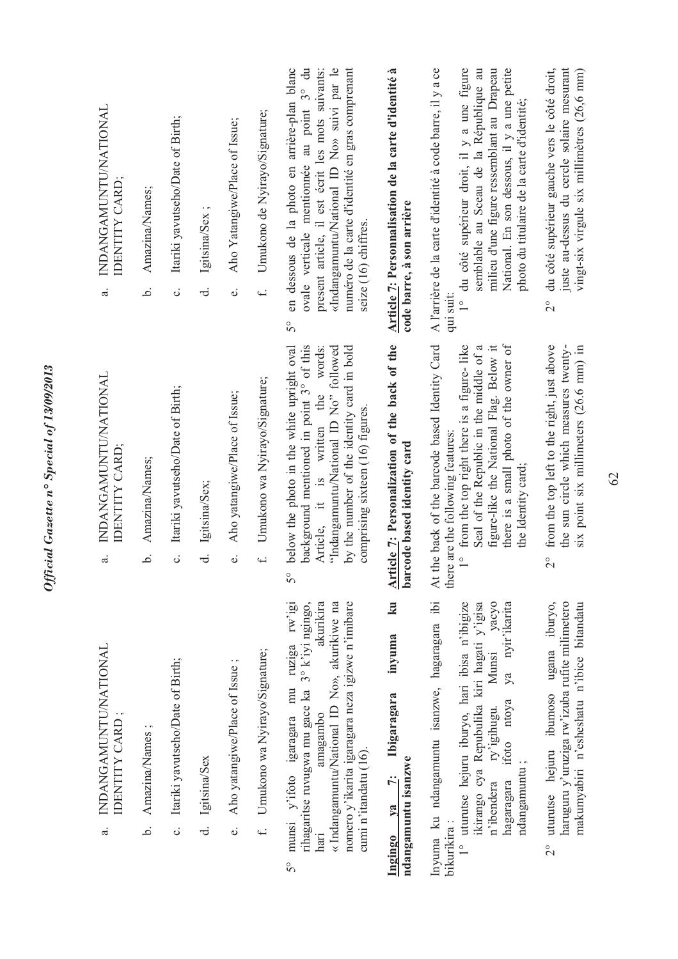| INDANGAMUNTU/NATIONAL<br>IDENTITY CARD;<br>$\vec{a}$  | Amazina/Names;<br>خ.     | Itariki yavutseho/Date of Birth;<br>$\ddot{\circ}$ | Igitsina/Sex;<br>ಕ | Aho Yatangiwe/Place of Issue;<br>$\ddot{\mathbf{0}}$ | Umukono de Nyirayo/Signature;<br>$\ddot{ }$ | en dessous de la photo en arrière-plan blanc<br>ovale verticale mentionnée au point 3° du<br>«Indangamuntu/National ID No» suivi par le<br>numéro de la carte d'identité en gras comprenant<br>present article, il est écrit les mots suivants:<br>seize (16) chiffres.<br>50     | Article 7: Personnalisation de la carte d'identité à<br>code barre, à son arrière                       | semblable au Sceau de la République au<br>A l'arrière de la carte d'identité à code barre, il y a ce<br>du côté supérieur droit, il y a une figure<br>milieu d'une figure ressemblant au Drapeau<br>National. En son dessous, il y a une petite<br>photo du titulaire de la carte d'identité;<br>qui suit:<br>$\frac{1}{1}$ | du côté supérieur gauche vers le côté droit,<br>juste au-dessus du cercle solaire mesurant<br>vingt-six virgule six millimètres (26,6 mm)<br>$\frac{1}{2}$ |
|-------------------------------------------------------|--------------------------|----------------------------------------------------|--------------------|------------------------------------------------------|---------------------------------------------|-----------------------------------------------------------------------------------------------------------------------------------------------------------------------------------------------------------------------------------------------------------------------------------|---------------------------------------------------------------------------------------------------------|-----------------------------------------------------------------------------------------------------------------------------------------------------------------------------------------------------------------------------------------------------------------------------------------------------------------------------|------------------------------------------------------------------------------------------------------------------------------------------------------------|
| INDANGAMUNTU/NATIONAL<br>IDENTITY CARD;<br>$\ddot{a}$ | Amazina/Names;<br>.<br>م | Itariki yavutseho/Date of Birth;<br>c.             | Igitsina/Sex;<br>ಕ | Aho yatangiwe/Place of Issue;<br>$\ddot{\mathbf{0}}$ | Umukono wa Nyirayo/Signature;<br>$\ddot{ }$ | background mentioned in point 3° of this<br>below the photo in the white upright oval<br>"Indangamuntu/National ID No" followed<br>by the number of the identity card in bold<br>Article, it is written the words:<br>comprising sixteen $(16)$ figures.<br>$\mathcal{S}^{\circ}$ | Article 7: Personalization of the back of the<br>barcode based identity card                            | At the back of the barcode based Identity Card<br>there is a small photo of the owner of<br>from the top right there is a figure-like<br>figure-like the National Flag. Below it<br>Seal of the Republic in the middle of a<br>there are the following features:<br>the Identity card;<br>$\frac{1}{2}$                     | from the top left to the right, just above<br>the sun circle which measures twenty-<br>six point six millimeters (26.6 mm) in<br>$\frac{1}{2}$             |
| INDANGAMUNTU/NATIONAL<br>IDENTITY CARD;<br>$\vec{a}$  | Amazina/Names;<br>.<br>م | Itariki yavutseho/Date of Birth;<br>c.             | Igitsina/Sex<br>ಕ  | Aho yatangiwe/Place of Issue;<br>$\ddot{\circ}$      | Umukono wa Nyirayo/Signature;<br>$\ddot{ }$ | nomero y'ikarita igaragara neza igizwe n'imibare<br>rihagaritse ruvugwa mu gace ka 3° k'iyi ngingo,<br>akurikira<br>« Indangamuntu/National ID No», akurikiwe na<br>munsi y'ifoto igaragara mu ruziga rw'igi<br>amagambo<br>cumi n'itandatu (16).<br>hari<br>50                   | $\mathbf{z}$<br>inyuma<br>Ibigaragara<br>ndangamuntu isanzwe<br>$\ddot{z}$<br>V <sub>a</sub><br>Ingingo | Inyuma ku ndangamuntu isanzwe, hagaragara ibi<br>1° uturutse hejuru iburyo, hari ibisa n'ibigize<br>ikirango cya Repubulika kiri hagati y'igisa<br>Munsi yacyo<br>ya nyir'ikarita<br>ifoto ntoya<br>ry'igihugu.<br>ndangamuntu;<br>hagaragara<br>n'ibendera<br>bikurikira:                                                  | 2° uturutse hejuru ibumoso ugana iburyo,<br>haruguru y'uruziga rw'izuba rufite milimetero<br>makumyabiri n'esheshatu n'ibice bitandatu                     |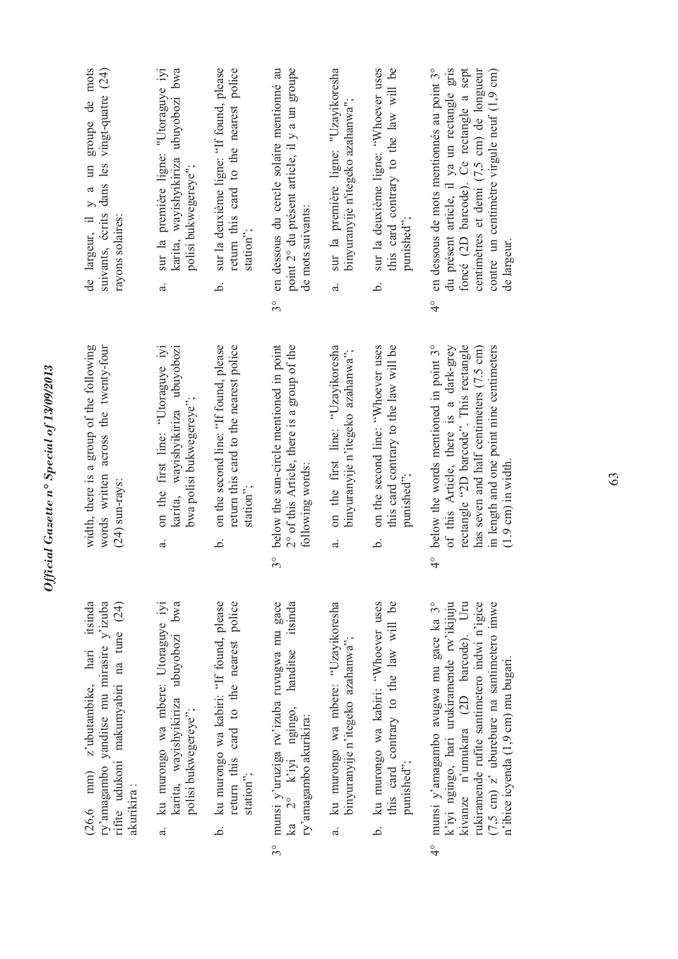| groupe de mots<br>vingt-quatre (24)<br>de largeur, il y a un<br>suivants, écrits dans les<br>rayons solaires:                                      | sur la première ligne: "Utoraguye iyi<br>karita, wayishyikiriza ubuyobozi bwa<br>polisi bukwegereye";<br>d. | sur la deuxième ligne: "If found, please<br>return this card to the nearest police<br>station";<br>نم.   | en dessous du cercle solaire mentionné au<br>point 2° du présent article, il y a un groupe<br>de mots suivants:<br>30        | sur la première ligne: "Uzayikoresha<br>binyuranyije n'itegeko azahanwa";<br>$\ddot{a}$    | sur la deuxième ligne: "Whoever uses<br>this card contrary to the law will be<br>punished";<br>نم    | foncé (2D barcode). Ce rectangle a sept<br>en dessous de mots mentionnés au point 3°<br>du présent article, il ya un rectangle gris<br>centimètres et demi (7,5 cm) de longueur<br>contre un centimètre virgule neuf (1,9 cm)<br>de largeur.<br>$\frac{1}{4}$                             |
|----------------------------------------------------------------------------------------------------------------------------------------------------|-------------------------------------------------------------------------------------------------------------|----------------------------------------------------------------------------------------------------------|------------------------------------------------------------------------------------------------------------------------------|--------------------------------------------------------------------------------------------|------------------------------------------------------------------------------------------------------|-------------------------------------------------------------------------------------------------------------------------------------------------------------------------------------------------------------------------------------------------------------------------------------------|
| width, there is a group of the following<br>words written across the twenty-four<br>(24) sun-rays:                                                 | karita, wayishyikiriza ubuyobozi<br>on the first line: "Utoraguye iyi<br>bwa polisi bukwegereye";<br>d.     | on the second line: "If found, please<br>return this card to the nearest police<br>station";<br>خ.       | below the sun-circle mentioned in point<br>2° of this Article, there is a group of the<br>following words:<br>$3^{\circ}$    | on the first line: "Uzayikoresha<br>binyuranyije n'itegeko azahanwa";<br>$\mathbf{a}$      | on the second line: "Whoever uses<br>this card contrary to the law will be<br>punished";<br>.<br>ف   | below the words mentioned in point 3°<br>rectangle "2D barcode". This rectangle<br>of this Article, there is a dark-grey<br>in length and one point nine centimeters<br>has seven and half centimeters (7.5 cm)<br>$(1.9 \text{ cm})$ in width.<br>्<br>प                                 |
| z'ubutambike, hari itsinda<br>ry'amagambo yanditse mu mirasire y'izuba<br>rifite udukoni makumyabiri na tune (24)<br>$(26, 6 \, mm)$<br>akurikira: | karita, wayishyikiriza ubuyobozi bwa<br>ku murongo wa mbere: Utoraguye iyi<br>polisi bukwegereye";<br>ಡ     | ku murongo wa kabiri: "If found, please<br>return this card to the nearest police<br>station";<br>.<br>ف | handitse itsinda<br>munsi y'uruziga rw'izuba ruvugwa mu gace<br>ka 2° k'iyi ngingo,<br>ry'amagambo akurikira:<br>$3^{\circ}$ | ku murongo wa mbere: "Uzayikoresha<br>binyuranyije n'itegeko azahanwa";<br>$\ddot{\sigma}$ | this card contrary to the law will be<br>ku murongo wa kabiri: "Whoever uses<br>punished";<br>.<br>م | munsi y'amagambo avugwa mu gace ka 3°<br>k'iyi ngingo, hari urukiramende rw'ikijuju<br>kivanze n'umukara (2D barcode). Uru<br>rukiramende rufite santimetero indwi n'igice<br>$(7,5 \text{ cm})$ z' uburebure na santimetero imwe<br>n'ibice icyenda (1,9 cm) mu bugari.<br>$\frac{1}{4}$ |

*Official Gazette n° Special of 13/09/2013*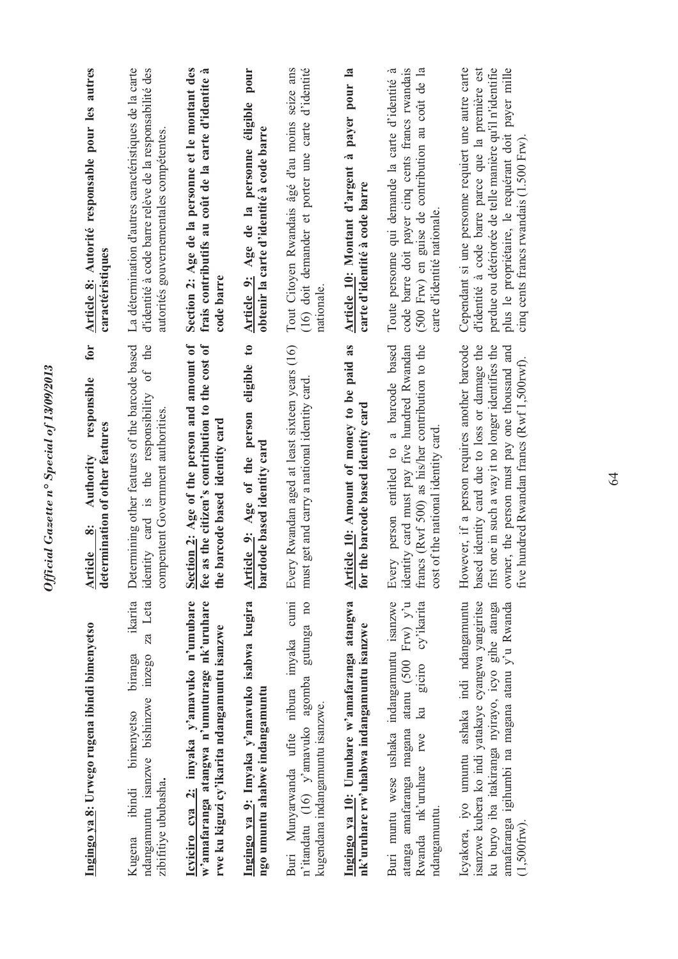| Ingingo ya 8: Urwego rugena ibindi bimenyetso                                                                                                                                                                              | for<br>responsible<br>termination of other features<br>Authority<br>$\ddot{\infty}$<br><b>Article</b><br>$\mathbf{d}$ et                                                                                                                            | Article 8: Autorité responsable pour les autres<br>caractéristiques                                                                                                                                                                                                 |
|----------------------------------------------------------------------------------------------------------------------------------------------------------------------------------------------------------------------------|-----------------------------------------------------------------------------------------------------------------------------------------------------------------------------------------------------------------------------------------------------|---------------------------------------------------------------------------------------------------------------------------------------------------------------------------------------------------------------------------------------------------------------------|
| ikarita<br>za Leta<br>ndangamuntu isanzwe bishinzwe inzego<br>biranga<br>bimenyetso<br>zibifitiye ububasha.<br>ibindi<br>Kugena                                                                                            | Determining other features of the barcode based<br>the<br>öt<br>identity card is the responsibility<br>compentent Government authorities                                                                                                            | La détermination d'autres caractéristiques de la carte<br>d'identité à code barre relève de la responsabilité des<br>autorités gouvernementales compétentes                                                                                                         |
| Icyiciro cya 2: imyaka y'amavuko n'umubare<br>w'amafaranga atangwa n'umuturage nk'uruhare<br>rwe ku kiguzi cy'ikarita ndangamuntu isanzwe                                                                                  | as the citizen's contribution to the cost of<br>Section 2: Age of the person and amount of<br>the barcode based identity card<br>fee                                                                                                                | Section 2: Age de la personne et le montant des<br>frais contributifs au coût de la carte d'identite à<br>code barre                                                                                                                                                |
| Ingingo ya 9: Imyaka y'amavuko isabwa kugira<br>ngo umuntu ahabwe indangamuntu                                                                                                                                             | eligible to<br>Article 9: Age of the person<br>bardode based identity card                                                                                                                                                                          | Article 9: Age de la personne éligible pour<br>obtenir la carte d'identité à code barre                                                                                                                                                                             |
| Buri Munyarwanda ufite nibura imyaka cumi<br>n'itandatu (16) y'amavuko agomba gutunga no<br>kugendana indangamuntu isanzwe.                                                                                                | Every Rwandan aged at least sixteen years (16)<br>ist get and carry a national identity card<br>m                                                                                                                                                   | Tout Citoyen Rwandais âgé d'au moins seize ans<br>d'identité<br>(16) doit demander et porter une carte<br>nationale                                                                                                                                                 |
| Ingingo ya 10: Umubare w'amafaranga atangwa<br>nk'uruhare rw'uhabwa indangamuntu isanzwe                                                                                                                                   | Article 10: Amount of money to be paid as<br>for the barcode based identity card                                                                                                                                                                    | Article 10: Montant d'argent à payer pour la<br>carte d'identité à code barre                                                                                                                                                                                       |
| atanga amafaranga magana atanu (500 Frw) y'u<br>Buri muntu wese ushaka indangamuntu isanzwe<br>ku giciro cy'ikarita<br>Rwanda nk'uruhare rwe<br>ndangamuntu.                                                               | Every person entitled to a barcode based<br>identity card must pay five hundred Rwandan<br>francs (Rwf 500) as his/her contribution to the<br>cost of the national identity card                                                                    | code barre doit payer cinq cents francs rwandais<br>(500 Frw) en guise de contribution au coût de la<br>Toute personne qui demande la carte d'identité à<br>carte d'identité nationale.                                                                             |
| Icyakora, iyo umuntu ashaka indi ndangamuntu<br>isanzwe kubera ko indi yatakaye cyangwa yangiritse<br>ku buryo iba itakiranga nyirayo, icyo gihe atanga<br>amafaranga igihumbi na magana atanu y'u Rwanda<br>$(1,500$ frw) | However, if a person requires another barcode<br>first one in such a way it no longer identifies the<br>based identity card due to loss or damage the<br>owner, the person must pay one thousand and<br>five hundred Rwandan francs (Rwf 1,500rwf). | Cependant si une personne requiert une autre carte<br>perdue ou détériorée de telle manière qu'il n'identifie<br>plus le propriétaire, le requérant doit payer mille<br>d'identité à code barre parce que la première est<br>cinq cents francs rwandais (1.500 Frw) |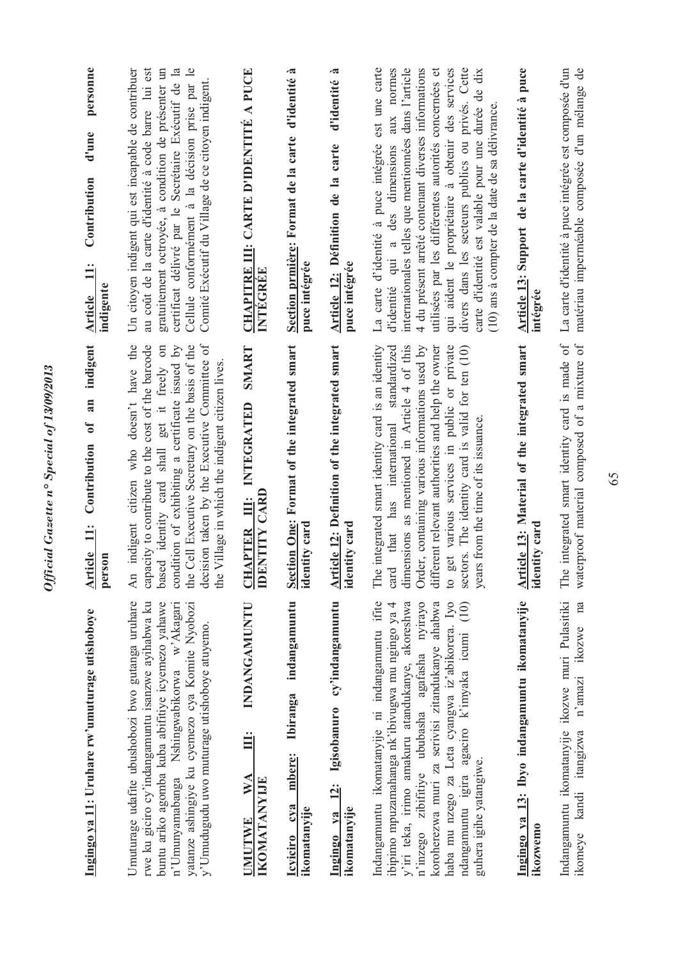| Ingingo ya 11: Uruhare rw'umuturage utishoboye                                                                                                                                                                                                                                                                                                                                             | an indigent<br>Contribution of<br>Article 11:<br>person                                                                                                                                                                                                                                                                                                                                                         | personne<br>d'une<br>Contribution<br>$\ddot{=}$<br>indigente<br><b>Article</b>                                                                                                                                                                                                                                                                                                                                                                                                                 |
|--------------------------------------------------------------------------------------------------------------------------------------------------------------------------------------------------------------------------------------------------------------------------------------------------------------------------------------------------------------------------------------------|-----------------------------------------------------------------------------------------------------------------------------------------------------------------------------------------------------------------------------------------------------------------------------------------------------------------------------------------------------------------------------------------------------------------|------------------------------------------------------------------------------------------------------------------------------------------------------------------------------------------------------------------------------------------------------------------------------------------------------------------------------------------------------------------------------------------------------------------------------------------------------------------------------------------------|
| Umuturage udafite ubushobozi bwo gutanga uruhare<br>rwe ku giciro cy'indangamuntu isanzwe ayihabwa ku<br>buntu ariko agomba kuba abifitiye icyemezo yahawe<br>n'Umunyamabanga Nshingwabikorwa w'Akagari<br>yatanze ashingiye ku cyemezo cya Komite Nyobozi<br>y'Umudugudu uwo muturage utishoboye atuyemo.                                                                                 | the Cell Executive Secretary on the basis of the<br>decision taken by the Executive Committee of<br>the<br>capacity to contribute to the cost of the barcode<br>based identity card shall get it freely on<br>condition of exhibiting a certificate issued by<br>Village in which the indigent citizen lives.<br>indigent citizen who doesn't have<br>An<br>the                                                 | au coût de la carte d'identité à code barre lui est<br>$\overline{\phantom{a}}$<br>gratuitement octroyée, à condition de présenter un<br>certificat délivré par le Secrétaire Exécutif de la<br>Un citoyen indigent qui est incapable de contribuer<br>Comité Exécutif du Village de ce citoyen indigent.<br>Cellule conformément à la décision prise par                                                                                                                                      |
| INDANGAMUNTU<br>Ë<br>WA<br><b>IKOMATANYIJE</b><br><b>UMUTWE</b>                                                                                                                                                                                                                                                                                                                            | SMART<br>INTEGRATED<br><b>IDENTITY CARD</b><br><b>APTER III:</b><br>U                                                                                                                                                                                                                                                                                                                                           | <b>CHAPITRE III: CARTE D'IDENTITÉ A PUCE</b><br>INTEGREE                                                                                                                                                                                                                                                                                                                                                                                                                                       |
| indangamuntu<br><b>Ibiranga</b><br>mbere:<br>cva<br>ikomatanyije<br>Icyiciro                                                                                                                                                                                                                                                                                                               | Section One: Format of the integrated smart<br>identity card                                                                                                                                                                                                                                                                                                                                                    | Section prmière: Format de la carte d'identité à<br>puce intégrée                                                                                                                                                                                                                                                                                                                                                                                                                              |
| 12: Igisobanuro cy'indangamuntu<br>ikomatanyije<br>Ingingo ya                                                                                                                                                                                                                                                                                                                              | Article 12: Definition of the integrated smart<br>identity card                                                                                                                                                                                                                                                                                                                                                 | .ಷ<br>d'identité<br>Article 12: Définition de la carte<br>puce intégrée                                                                                                                                                                                                                                                                                                                                                                                                                        |
| Indangamuntu ikomatanyije ni indangamuntu ifite<br>haba mu nzego za Leta cyangwa iz'abikorera. Iyo<br>ibipimo mpuzamahanga nk'ibivugwa mu ngingo ya 4<br>y'iri teka, irimo amakuru atandukanye, akoreshwa<br>n'inzego zibifitiye ububasha agafasha nyirayo<br>koroherezwa muri za serivisi zitandukanye ahabwa<br>ndangamuntu igira agaciro k'imyaka icumi (10)<br>guhera igihe yatangiwe. | The integrated smart identity card is an identity<br>dimensions as mentioned in Article 4 of this<br>card that has international standardized<br>Order, containing various informations used by<br>different relevant authorities and help the owner<br>get various services in public or private<br>sectors. The identity card is valid for ten (10)<br>years from the time of its issuance.<br>$\overline{c}$ | est une carte<br>internationales telles que mentionnées dans l'article<br>4 du présent arrêté contenant diverses informations<br>d'identité qui a des dimensions aux normes<br>qui aident le propriétaire à obtenir des services<br>divers dans les secteurs publics ou privés. Cette<br>carte d'identité est valable pour une durée de dix<br>utilisées par les différentes autorités concernées et<br>(10) ans à compter de la date de sa délivrance.<br>La carte d'identité à puce intégrée |
| Ingingo ya 13: Ibyo indangamuntu ikomatanyije<br>ikozwemo                                                                                                                                                                                                                                                                                                                                  | Article 13: Material of the integrated smart<br>identity card                                                                                                                                                                                                                                                                                                                                                   | Article 13: Support de la carte d'identité à puce<br>intégrée                                                                                                                                                                                                                                                                                                                                                                                                                                  |
| Indangamuntu ikomatanyije ikozwe muri Pulasitiki<br>na<br>n'amazi ikozwe<br>kandi itangizwa<br>ikomeye                                                                                                                                                                                                                                                                                     | The integrated smart identity card is made of<br>waterproof material composed of a mixture of                                                                                                                                                                                                                                                                                                                   | La carte d'identité à puce intégrée est composée d'un<br>matériau imperméable composée d'un mélange de                                                                                                                                                                                                                                                                                                                                                                                         |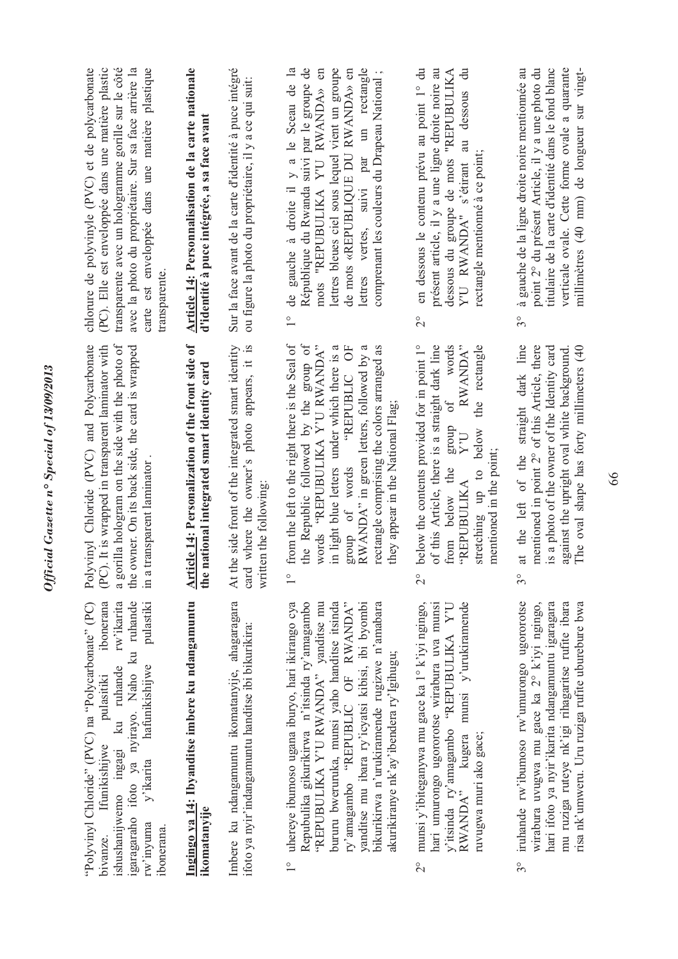| (PC). Elle est enveloppée dans une matière plastic<br>transparente avec un hologramme gorille sur le côté<br>avec la photo du propriétaire. Sur sa face arrière la<br>carte est enveloppée dans une matière plastique<br>chlorure de polyvinyle (PVC) et de polycarbonate<br>transparente. | Article 14: Personnalisation de la carte nationale<br>d'identité à puce intégrée, a sa face avant | Sur la face avant de la carte d'identité à puce intégré<br>ou fígure la photo du propriétaire, il y a ce qui suit:             | République du Rwanda suivi par le groupe de<br>lettres bleues ciel sous lequel vient un groupe<br>de gauche à droite il y a le Sceau de la<br>mots "REPUBULIKA Y'U RWANDA» en<br>lettres vertes, suivi par un rectangle<br>de mots «REPUBLIQUE DU RWANDA» en<br>comprenant les couleurs du Drapeau National;<br>$\overline{1}^{\circ}$<br>FOR STREET                                       | en dessous le contenu prévu au point 1° du<br>présent article, il y a une ligne droite noire au<br>dessous du groupe de mots "REPUBULIKA<br>dessous<br>Y'U RWANDA" s'étirant au<br>rectangle mentionné à ce point;<br>$\overline{c}$<br>RWANDA"<br>words<br>the rectangle<br>$\sigma$ | point 2° du présent Article, il y a une photo du<br>à gauche de la ligne droite noire mentionnée au<br>titulaire de la carte d'identité dans le fond blanc<br>$3^{\circ}$ |
|--------------------------------------------------------------------------------------------------------------------------------------------------------------------------------------------------------------------------------------------------------------------------------------------|---------------------------------------------------------------------------------------------------|--------------------------------------------------------------------------------------------------------------------------------|--------------------------------------------------------------------------------------------------------------------------------------------------------------------------------------------------------------------------------------------------------------------------------------------------------------------------------------------------------------------------------------------|---------------------------------------------------------------------------------------------------------------------------------------------------------------------------------------------------------------------------------------------------------------------------------------|---------------------------------------------------------------------------------------------------------------------------------------------------------------------------|
| a gorilla hologram on the side with the photo of<br>Polyvinyl Chloride (PVC) and Polycarbonate<br>(PC). It is wrapped in transparent laminator with<br>the owner. On its back side, the card is wrapped<br>in a transparent laminator                                                      | Article 14: Personalization of the front side of<br>the national integrated smart identity card   | the side front of the integrated smart identity<br>card where the owner's photo appears, it is<br>written the following:<br>At | from the left to the right there is the Seal of<br>the Republic followed by the group of<br>words "REPUBULIKA Y'U RWANDA"<br>rectangle comprising the colors arranged as<br>in light blue letters under which there is a<br>RWANDA" in green letters, followed by a<br>they appear in the National Flag.<br>group of words<br>$\frac{1}{\sqrt{2}}$                                         | below the contents provided for in point 1°<br>of this Article, there is a straight dark line<br>from below the group<br>stretching up to below<br>$U \cdot X$<br>mentioned in the point;<br><b>AXILIBULIKA</b><br>$\overset{\circ}{\sim}$                                            | at the left of the straight dark line<br>mentioned in point 2° of this Article, there<br>is a photo of the owner of the Identity card<br>$\overset{\circ}{\mathfrak{D}}$  |
| igaragaraho ifoto ya nyirayo. Naho ku ruhande<br>ibonerana<br>rw'ikarita<br>pulastiki<br>"Polyvinyl Chloride" (PVC) na "Polycarbonate" (PC)<br>hafunikishijwe<br>ku ruhande<br>pulasitiki<br>Ifunikishijwe<br>ishushanijwemo ingagi<br>y'ikarita<br>rw'inyuma<br>ibonerana.<br>bivanze.    | Ingingo ya 14: Ibyanditse imbere ku ndangamuntu<br>ikomatanyije                                   | Imbere ku ndangamuntu ikomatanyije, ahagaragara<br>ifoto ya nyir'indangamuntu handitse ibi bikurikira:                         | bikurikirwa n'urukiramende rugizwe n'amabara<br>uhereye ibumoso ugana iburyo, hari ikirango cya<br>Repubulika gikurikirwa n'itsinda ry'amagambo<br>"REPUBULIKA Y'U RWANDA" yanditse mu<br>bururu bweruruka, munsi yaho handitse itsinda<br>ry'amagambo "REPUBLIC OF RWANDA"<br>yanditse mu ibara ry'icyatsi kibisi, ibi byombi<br>akurikiranye nk'ay'ibendera ry'Igihugu;<br>$\frac{1}{1}$ | munsi y'ibiteganywa mu gace ka 1° k'iyi ngingo,<br>hari umurongo ugororotse wirabura uva munsi<br>y'itsinda ry'amagambo "REPUBULIKA Y'U RWANDA" kugera munsi y'urukiramende<br>ruvugwa muri ako gace;<br>$\frac{1}{2}$                                                                | iruhande rw'ibumoso rw'umurongo ugororotse<br>wirabura uvugwa mu gace ka 2° k'iyi ngingo,<br>hari ifoto ya nyir'ikarita ndangamuntu igaragara<br>$3^{\circ}$              |

Official Gazette nº Special of 13/09/2013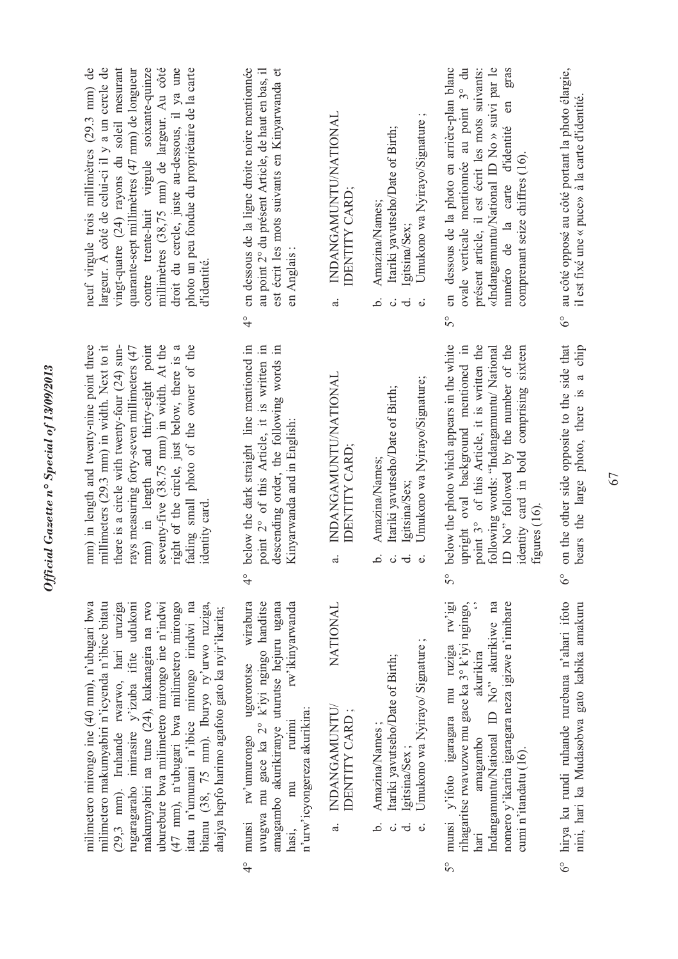| neuf virgule trois millimètres (29.3 mm) de<br>largeur. À côté de celui-ci il y a un cercle de<br>vingt-quatre (24) rayons du soleil mesurant<br>millimètres (38,75 mm) de largeur. Au côté<br>droit du cercle, juste au-dessous, il ya une<br>quarante-sept millimètres (47 mm) de longueur<br>contre trente-huit virgule soixante-quinze<br>photo un peu fondue du propriétaire de la carte<br>d'identité.                                                                              | en dessous de la ligne droite noire mentiomée<br>au point 2° du présent Article, de haut en bas, il<br>est écrit les mots suivants en Kinyarwanda et<br>en Anglais:<br>$\frac{1}{4}$                                               | INDANGAMUNTU/NATIONAL<br>IDENTITY CARD;<br>$\ddot{a}$       | $\cdot$ $\circ$<br>Umukono wa Nyirayo/Signature<br>Itariki yavutseho/Date of Birth;<br>Amazina/Names;<br>Igitsina/Sex;<br>خ.<br>$\ddot{\circ}$<br>ಕ<br>$\dot{\omega}$ | en dessous de la photo en arrière-plan blanc<br>ovale verticale mentionnée au point 3° du<br>«Indangamuntu/National ID No » suivi par le<br>présent article, il est écrit les mots suivants:<br>gras<br>$\epsilon$ n<br>numéro de la carte d'identité<br>comprenant seize chiffres (16).<br>So                                                                                                                                                                                                                                                                                                                                                | au côté opposé au côté portant la photo élargie,<br>il est fixé une « puce» à la carte d'identité.<br>$\delta^{\circ}$ |
|-------------------------------------------------------------------------------------------------------------------------------------------------------------------------------------------------------------------------------------------------------------------------------------------------------------------------------------------------------------------------------------------------------------------------------------------------------------------------------------------|------------------------------------------------------------------------------------------------------------------------------------------------------------------------------------------------------------------------------------|-------------------------------------------------------------|-----------------------------------------------------------------------------------------------------------------------------------------------------------------------|-----------------------------------------------------------------------------------------------------------------------------------------------------------------------------------------------------------------------------------------------------------------------------------------------------------------------------------------------------------------------------------------------------------------------------------------------------------------------------------------------------------------------------------------------------------------------------------------------------------------------------------------------|------------------------------------------------------------------------------------------------------------------------|
| mm) in length and thirty-eight point<br>seventy-five (38.75 mm) in width. At the<br>mm) in length and twenty-nine point three<br>there is a circle with twenty-four (24) sun-<br>fading small photo of the owner of the<br>millimeters (29.3 mm) in width. Next to it<br>right of the circle, just below, there is a<br>rays measuring forty-seven millimeters (47<br>identity card                                                                                                       | below the dark straight line mentioned in<br>point 2° of this Article, it is written in<br>descending order, the following words in<br>Kinyarwanda and in English:<br>$\overset{\circ}{\tau}$                                      | <b>INDANGAMUNTU/NATIONAL</b><br>IDENTITY CARD;<br>$\dot{a}$ | Umukono wa Nyirayo/Signature;<br>Itariki yavutseho/Date of Birth;<br>Amazina/Names;<br>Igitsina/Sex;<br>.<br>ف<br>ಕ<br>$\ddot{\circ}$<br>$\dot{\mathbf{c}}$           | point 3° of this Article, it is written the<br>ID No" followed by the number of the<br>below the photo which appears in the white<br>upright oval background mentioned in<br>identity card in bold comprising sixteen<br>following words: "Indangamuntu/ National<br>figures (16)<br>$\delta$                                                                                                                                                                                                                                                                                                                                                 | on the other side opposite to the side that<br>bears the large photo, there is a chip<br>$\delta$                      |
| milimetero mirongo ine (40 mm), n'ubugari bwa<br>milimetero makumyabiri n'icyenda n'ibice bitatu<br>(29,3 mm). Iruhande rwarwo, hari uruziga<br>rugaragaraho imirasire y'izuba ifite udukoni<br>makumyabiri na tune (24), kukanagira na rwo<br>uburebure bwa milimetero mirongo ine n'indwi<br>(47 mm), n'ubugari bwa milimetero mirongo<br>itatu n'umunani n'ibice mirongo irindwi na<br>bitanu (38, 75 mm). Iburyo ry'urwo ruziga,<br>ahajya hepfo harimo agafoto gato ka nyir'ikarita; | rw'umurongo ugororotse wirabura<br>uvugwa mu gace ka 2° k'iyi ngingo handitse<br>amagambo akurikiranye uturutse hejuru ugana<br>rw'ikinyarwanda<br>n'urw'icyongereza akurikira:<br>rurimi<br>mu<br>munsi<br>hası,<br>$\frac{1}{4}$ | NATIONAL<br>INDANGAMUNTU/<br>IDENTITY CARD;<br>ಹ            | Umukono wa Nyirayo/ Signature;<br>Itariki yavutseho/Date of Birth;<br>Amazina/Names;<br>Igitsina/Sex;<br>.<br>ض<br>ಕ<br>ن<br>ت                                        | munsi y'ifoto igaragara mu ruziga rw'igi<br>Indangamuntu/National ID No" akurikiwe na<br>nomero y'ikarita igaragara neza igizwe n'imibare<br>$\lim_{x \to a} \lim_{x \to a} \lim_{x \to a} \lim_{x \to a} \frac{1}{x} \cdot \lim_{x \to a} \lim_{x \to a} \lim_{x \to a} \lim_{x \to a} \lim_{x \to a} \lim_{x \to a} \lim_{x \to a} \lim_{x \to a} \lim_{x \to a} \lim_{x \to a} \lim_{x \to a} \lim_{x \to a} \lim_{x \to a} \lim_{x \to a} \lim_{x \to a} \lim_{x \to a} \lim_{x \to a} \lim_{x \to a} \lim_{x \to a} \lim_{x \to a} \lim_{x \to a} \lim_{x \to a} \lim_{$<br>akurikira<br>amagambo<br>cumi n'itandatu (16).<br>hari<br>50 | 6° hirya ku rundi ruhande rurebana n'ahari ifoto<br>nini, hari ka Mudasobwa gato kabika amakuru                        |

*Official Gazette n° Special of 13/09/2013*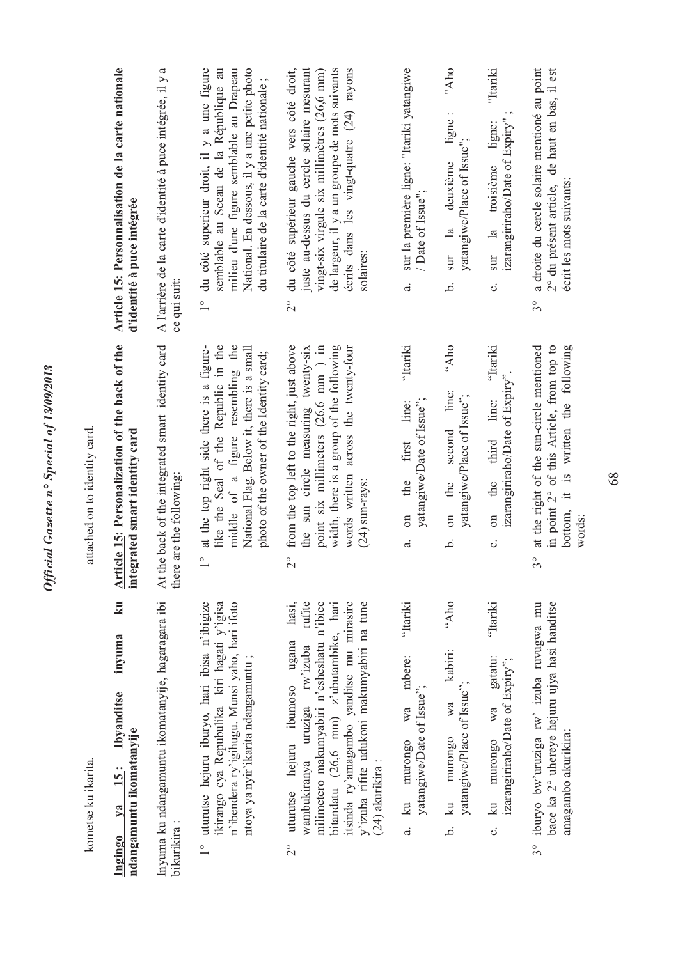|                              | Article 15: Personnalisation de la carte nationale<br>d'identité à puce intégrée       | A l'arrière de la carte d'identité à puce intégrée, il y a<br>ce qui suit:    | du côté superieur droit, il y a une figure<br>National. En dessous, il y a une petite photo<br>semblable au Sceau de la République au<br>milieu d'une figure semblable au Drapeau<br>du titulaire de la carte d'identité nationale;<br>$\frac{1}{2}$ | du côté supérieur gauche vers côté droit,<br>juste au-dessus du cercle solaire mesurant<br>de largeur, il y a un groupe de mots suivants<br>écrits dans les vingt-quatre (24) rayons<br>vingt-six virgule six millimètres (26,6 mm)<br>solaires:<br>$\frac{1}{2}$                                            | sur la première ligne: "Itariki yatangiwe<br>/Date of Issue";<br>$\vec{a}$                       | "Aho<br>ligne:<br>yatangiwe/Place of Issue";<br>deuxième<br>sur la<br>خ                              | "Itariki<br>izarangiriraho/Date of Expiry"<br>ligne:<br>sur la troisième<br>$\ddot{\circ}$    | a droite du cercle solaire mentioné au point<br>2° du présent article, de haut en bas, il est<br>écrit les mots suivants:<br>$3^{\circ}$                      |
|------------------------------|----------------------------------------------------------------------------------------|-------------------------------------------------------------------------------|------------------------------------------------------------------------------------------------------------------------------------------------------------------------------------------------------------------------------------------------------|--------------------------------------------------------------------------------------------------------------------------------------------------------------------------------------------------------------------------------------------------------------------------------------------------------------|--------------------------------------------------------------------------------------------------|------------------------------------------------------------------------------------------------------|-----------------------------------------------------------------------------------------------|---------------------------------------------------------------------------------------------------------------------------------------------------------------|
| attached on to identity card | Article 15: Personalization of the back of the<br>integrated smart identity card       | At the back of the integrated smart identity card<br>there are the following: | middle of a figure resembling the<br>at the top right side there is a figure-<br>like the Seal of the Republic in the<br>National Flag. Below it, there is a small<br>photo of the owner of the Identity card;<br>$\frac{1}{2}$                      | width, there is a group of the following<br>the sun circle measuring twenty-six<br>point six millimeters $(26.6 \text{ mm})$ in<br>words written across the twenty-four<br>from the top left to the right, just above<br>$(24)$ sun-rays:<br>$\overline{C}$                                                  | 'Itariki<br>yatangiwe/Date of Issue";<br>line:<br>first<br>the<br>$\sin$<br>$\ddot{\sigma}$      | otk"<br>second line:<br>yatangiwe/Place of Issue";<br>the<br>$\sin$<br>خ.                            | 'Itariki<br>izarangiriraho/Date of Expiry".<br>third line:<br>the<br>$\sin$<br>$\ddot{\circ}$ | at the right of the sun-circle mentioned<br>in point 2° of this Article, from top to<br>is written the following<br>$\pm$<br>bottom,<br>words:<br>$3^{\circ}$ |
| kometse ku ikarita.          | ku<br>inyuma<br>Ibyanditse<br>ndangamuntu ikomatanyije<br><b>15:</b><br>$1$<br>Ingingo | Inyuma ku ndangamuntu ikomatanyije, hagaragara ibi<br>bikurikira :            | ikirango cya Repubulika kiri hagati y'igisa<br>n'ibendera ry'igihugu. Munsi yaho, hari ifoto<br>uturutse hejuru iburyo, hari ibisa n'ibigize<br>ntoya ya nyir'ikarita ndangamuntu;<br>$\frac{1}{2}$                                                  | hasi,<br>milimetero makumyabiri n'esheshatu n'ibice<br>bitandatu (26,6 mm) z'ubutambike, hari<br>itsinda ry'amagambo yanditse mu mirasire<br>y'izuba rifite udukoni makumyabiri na tune<br>rufite<br>uturutse hejuru ibumoso ugana<br>rw'izuba<br>wambukiranya uruziga<br>(24) akurikira :<br>$\overline{C}$ | 'Itariki<br>mbere:<br>yatangiwe/Date of Issue";<br>wa<br>murongo<br>$\overline{\mathbf{a}}$<br>ಹ | oqy.,<br>kabiri:<br>yatangiwe/Place of Issue";<br>wa<br>murongo<br>$\overline{\mathbf{a}}$<br>.<br>م | 'Itariki<br>gatatu:<br>izarangiriraho/Date of Expiry";<br>wa<br>nurongo<br>ku<br>ပ            | bace ka 2° uhereye hejuru ujya hasi handitse<br>iburyo bw'uruziga rw' izuba ruvugwa mu<br>amagambo akurikira:<br>$3^{\circ}$                                  |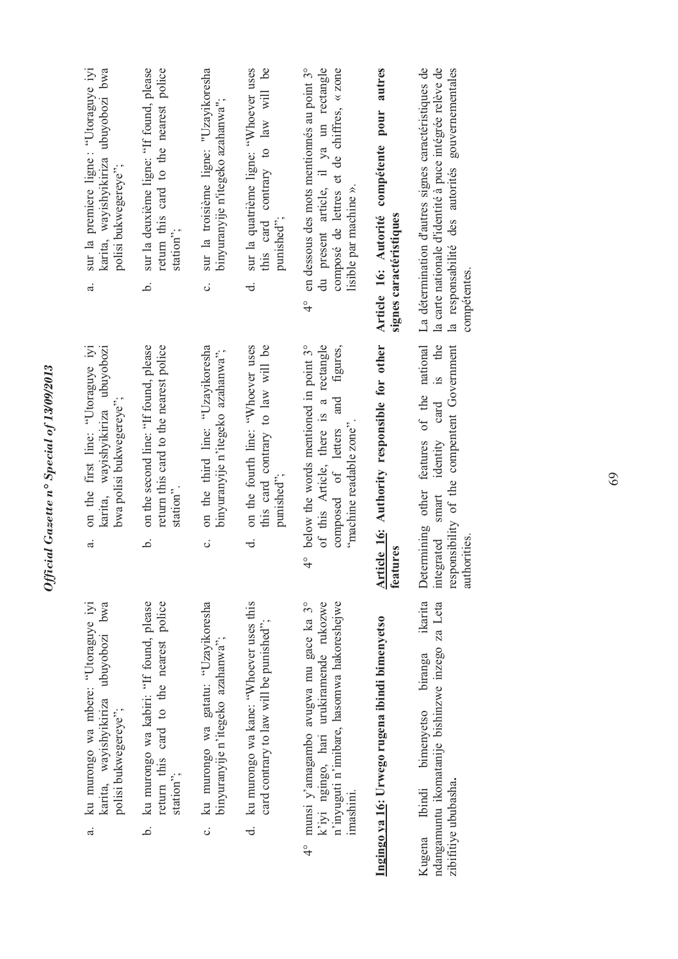| sur la premiere ligne : "Utoraguye iyi<br>ubuyobozi bwa<br>karita, wayishyikiriza<br>polisi bukwegereye";<br>a. | sur la deuxième ligne: "If found, please<br>return this card to the nearest police<br>station";<br>.<br>ف      | sur la troisième ligne: "Uzayikoresha<br>binyuranyije n'itegeko azahanwa";<br>c. | this card contrary to law will be<br>sur la quatrième ligne: "Whoever uses<br>punished";<br>ಕ | en dessous des mots mentionnés au point 3°<br>du present article, il ya un rectangle<br>composé de lettres et de chiffres, « zone<br>lisible par machine ».<br>$\frac{1}{4}$ | Article 16: Autorité compétente pour autres<br>signes caractéristiques | La détermination d'autres signes caractéristiques de<br>la carte nationale d'identité à puce intégrée relève de<br>la responsabilité des autorités gouvernementales<br>compétentes. |
|-----------------------------------------------------------------------------------------------------------------|----------------------------------------------------------------------------------------------------------------|----------------------------------------------------------------------------------|-----------------------------------------------------------------------------------------------|------------------------------------------------------------------------------------------------------------------------------------------------------------------------------|------------------------------------------------------------------------|-------------------------------------------------------------------------------------------------------------------------------------------------------------------------------------|
| on the first line: "Utoraguye iyi<br>karita, wayishyikiriza ubuyobozi<br>bwa polisi bukwegereye";<br>.<br>ಸ     | on the second line: "If found, please<br>return this card to the nearest police<br>station <sup>3</sup> .<br>م | on the third line: "Uzayikoresha<br>binyuranyije n'itegeko azahanwa'';<br>ပ      | this card contrary to law will be<br>on the fourth line: "Whoever uses<br>punished";<br>ಕ     | 4° below the words mentioned in point 3°<br>of this Article, there is a rectangle<br>composed of letters and figures,<br>"machine readable zone".                            | Article 16: Authority responsible for other<br>features                | Determining other features of the national<br>integrated smart identity card is the<br>responsibility of the compentent Government<br>authorities                                   |
| ku murongo wa mbere: "Utoraguye iyi<br>karita, wayishyikiriza ubuyobozi bwa<br>polisi bukwegereye";<br>d.       | return this card to the nearest police<br>ku murongo wa kabiri: "If found, please<br>station";<br>.<br>ف       | ku murongo wa gatatu: "Uzayikoresha<br>binyuranyije n'itegeko azahanwa'';<br>c.  | d. ku murongo wa kane: "Whoever uses this<br>card contrary to law will be punished";          | munsi y'amagambo avugwa mu gace ka 3°<br>n'inyuguti n'imibare, hasomwa hakoreshejwe<br>k'iyi ngingo, hari urukiramende rukozwe<br>imashini.<br>$\frac{1}{4}$                 | Ingingo ya 16: Urwego rugena ibindi bimenyetso                         | ikarita<br>ndangamuntu ikomatanije bishinzwe inzego za Leta<br>biranga<br>Kugena Ibindi bimenyetso<br>zibifitiye ububasha.                                                          |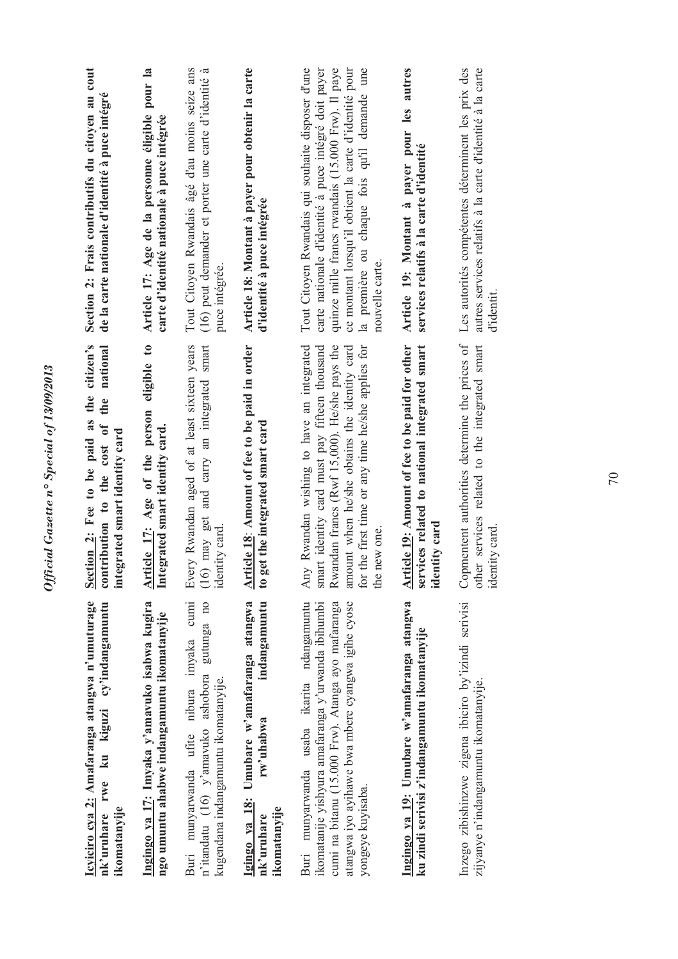| Icyiciro cya 2: Amafaranga atangwa n'umuturage<br>cy'indangamuntu<br>ku kiguzi<br>rwe<br>ikomatanyije<br>nk'uruhare                                                                                                             | Section 2: Fee to be paid as the citizen's<br>national<br>the<br>contribution to the cost of<br>integrated smart identity card                                                                                                                                     | Section 2: Frais contributifs du citoyen au cout<br>de la carte nationale d'identité à puce intégré                                                                                                                                                                                         |
|---------------------------------------------------------------------------------------------------------------------------------------------------------------------------------------------------------------------------------|--------------------------------------------------------------------------------------------------------------------------------------------------------------------------------------------------------------------------------------------------------------------|---------------------------------------------------------------------------------------------------------------------------------------------------------------------------------------------------------------------------------------------------------------------------------------------|
| Ingingo ya 17: Imyaka y'amavuko isabwa kugira<br>ngo umuntu ahabwe indangamuntu ikomatanyije                                                                                                                                    | Article 17: Age of the person eligible to<br>Integrated smart identity card.                                                                                                                                                                                       | Article 17: Age de la personne éligible pour la<br>carte d'identité nationale à puce intégrée                                                                                                                                                                                               |
| cumi<br>n'itandatu (16) y'amavuko ashobora gutunga no<br>Buri munyarwanda ufite nibura imyaka<br>kugendana indangamuntu ikomatanyije.                                                                                           | Every Rwandan aged of at least sixteen years<br>(16) may get and carry an integrated smart<br>identity card.                                                                                                                                                       | Tout Citoyen Rwandais âgé d'au moins seize ans<br>(16) peut demander et porter une carte d'identité à<br>puce intégrée.                                                                                                                                                                     |
| indangamuntu<br>Igingo ya 18: Umubare w'amafaranga atangwa<br>rw'uhabwa<br>ikomatanyije<br>nk'uruhare                                                                                                                           | Article 18: Amount of fee to be paid in order<br>to get the integrated smart card                                                                                                                                                                                  | Article 18: Montant à payer pour obtenir la carte<br>d'identité à puce intégrée                                                                                                                                                                                                             |
| Buri munyarwanda usaba ikarita ndangamuntu<br>ikomatanije yishyura amafaranga y'urwanda ibihumbi<br>cumi na bitanu (15.000 Frw). Atanga ayo mafaranga<br>atangwa iyo ayihawe bwa mbere cyangwa igihe cyose<br>yongeye kuyisaba. | Rwandan wishing to have an integrated<br>smart identity card must pay fifteen thousand<br>for the first time or any time he/she applies for<br>Rwandan francs (Rwf 15,000). He/she pays the<br>amount when he/she obtains the identity card<br>the new one.<br>Any | Tout Citoyen Rwandais qui souhaite disposer d'une<br>quinze mille francs rwandais (15.000 Frw). Il paye<br>ce montant lorsqu'il obtient la carte d'identité pour<br>la première ou chaque fois qu'il demande une<br>carte nationale d'identité à puce intégré doit payer<br>nouvelle carte. |
| Ingingo ya 19: Umubare w'amafaranga atangwa<br>ku zindi serivisi z'indangamuntu ikomatanyije                                                                                                                                    | Article 19: Amount of fee to be paid for other<br>services related to national integrated smart<br>identity card                                                                                                                                                   | Article 19: Montant à payer pour les autres<br>services relatifs à la carte d'identité                                                                                                                                                                                                      |
| Inzego zibishinzwe zigena ibiciro by'izindi serivisi<br>zijyanye n'indangamuntu ikomatanyije                                                                                                                                    | Copmentent authorities determine the prices of<br>services related to the integrated smart<br>identity card<br>other                                                                                                                                               | autres services relatifs à la carte d'identité à la carte<br>Les autorités compétentes déterminent les prix des<br>d'identit.                                                                                                                                                               |
|                                                                                                                                                                                                                                 |                                                                                                                                                                                                                                                                    |                                                                                                                                                                                                                                                                                             |